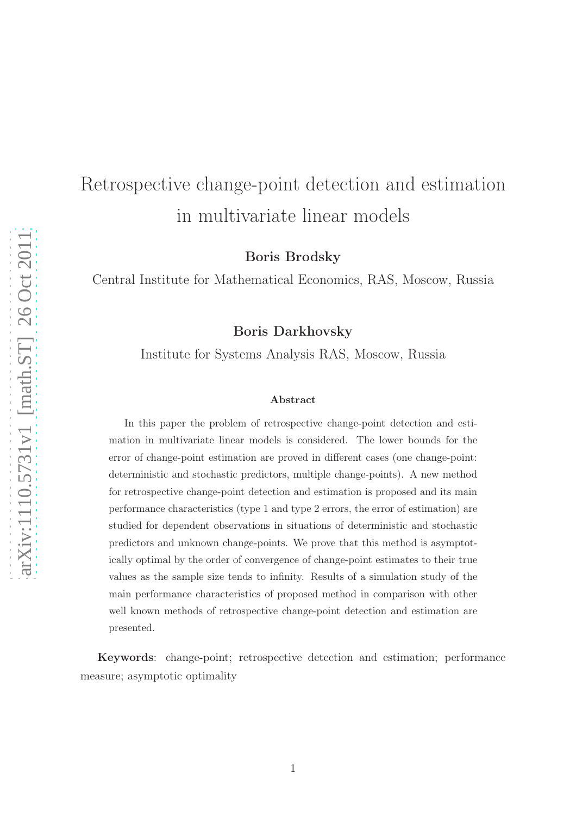# Retrospective change-point detection and estimation in multivariate linear models

Boris Brodsky

Central Institute for Mathematical Economics, RAS, Moscow, Russia

Boris Darkhovsky

Institute for Systems Analysis RAS, Moscow, Russia

#### Abstract

In this paper the problem of retrospective change-point detection and estimation in multivariate linear models is considered. The lower bounds for the error of change-point estimation are proved in different cases (one change-point: deterministic and stochastic predictors, multiple change-points). A new method for retrospective change-point detection and estimation is proposed and its main performance characteristics (type 1 and type 2 errors, the error of estimation) are studied for dependent observations in situations of deterministic and stochastic predictors and unknown change-points. We prove that this method is asymptotically optimal by the order of convergence of change-point estimates to their true values as the sample size tends to infinity. Results of a simulation study of the main performance characteristics of proposed method in comparison with other well known methods of retrospective change-point detection and estimation are presented.

Keywords: change-point; retrospective detection and estimation; performance measure; asymptotic optimality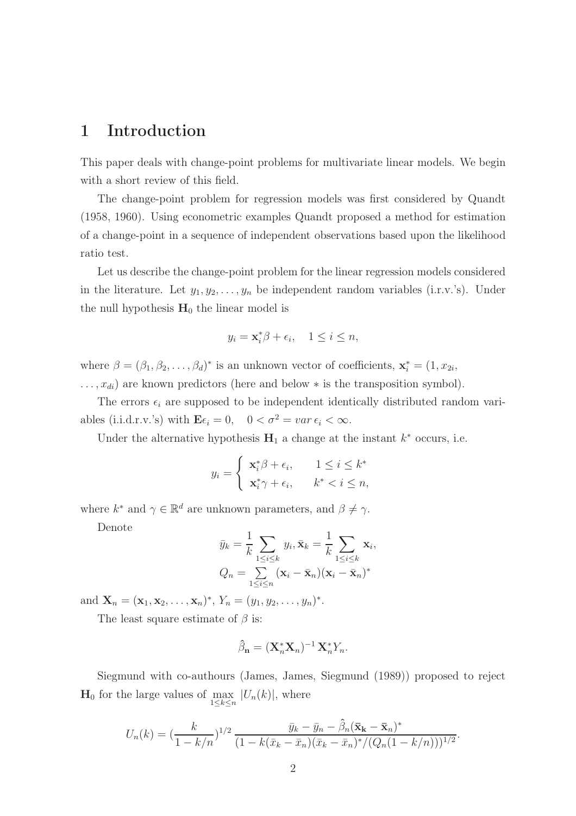### 1 Introduction

This paper deals with change-point problems for multivariate linear models. We begin with a short review of this field.

The change-point problem for regression models was first considered by Quandt (1958, 1960). Using econometric examples Quandt proposed a method for estimation of a change-point in a sequence of independent observations based upon the likelihood ratio test.

Let us describe the change-point problem for the linear regression models considered in the literature. Let  $y_1, y_2, \ldots, y_n$  be independent random variables (i.r.v.'s). Under the null hypothesis  $H_0$  the linear model is

$$
y_i = \mathbf{x}_i^* \beta + \epsilon_i, \quad 1 \le i \le n,
$$

where  $\beta = (\beta_1, \beta_2, \dots, \beta_d)^*$  is an unknown vector of coefficients,  $\mathbf{x}_i^* = (1, x_{2i}, \dots, x_{d})$  $\dots, x_{di}$  are known predictors (here and below  $*$  is the transposition symbol).

The errors  $\epsilon_i$  are supposed to be independent identically distributed random variables (i.i.d.r.v.'s) with  $\mathbf{E}\epsilon_i = 0$ ,  $0 < \sigma^2 = \text{var } \epsilon_i < \infty$ .

Under the alternative hypothesis  $H_1$  a change at the instant  $k^*$  occurs, i.e.

$$
y_i = \begin{cases} \mathbf{x}_i^* \beta + \epsilon_i, & 1 \le i \le k^* \\ \mathbf{x}_i^* \gamma + \epsilon_i, & k^* < i \le n, \end{cases}
$$

where  $k^*$  and  $\gamma \in \mathbb{R}^d$  are unknown parameters, and  $\beta \neq \gamma$ .

Denote

$$
\bar{y}_k = \frac{1}{k} \sum_{1 \le i \le k} y_i, \bar{\mathbf{x}}_k = \frac{1}{k} \sum_{1 \le i \le k} \mathbf{x}_i,
$$
  

$$
Q_n = \sum_{1 \le i \le n} (\mathbf{x}_i - \bar{\mathbf{x}}_n)(\mathbf{x}_i - \bar{\mathbf{x}}_n)^*
$$

and  $\mathbf{X}_n = (\mathbf{x}_1, \mathbf{x}_2, \dots, \mathbf{x}_n)^*$ ,  $Y_n = (y_1, y_2, \dots, y_n)^*$ .

The least square estimate of  $\beta$  is:

$$
\hat{\beta}_{\mathbf{n}} = (\mathbf{X}_n^* \mathbf{X}_n)^{-1} \mathbf{X}_n^* Y_n.
$$

Siegmund with co-authours (James, James, Siegmund (1989)) proposed to reject  $\mathbf{H}_0$  for the large values of  $\max_{1 \le k \le n} |U_n(k)|$ , where

$$
U_n(k) = \left(\frac{k}{1-k/n}\right)^{1/2} \frac{\bar{y}_k - \bar{y}_n - \hat{\beta}_n(\bar{\mathbf{x}}_k - \bar{\mathbf{x}}_n)^*}{(1-k(\bar{x}_k - \bar{x}_n)(\bar{x}_k - \bar{x}_n)^*/(Q_n(1-k/n)))^{1/2}}.
$$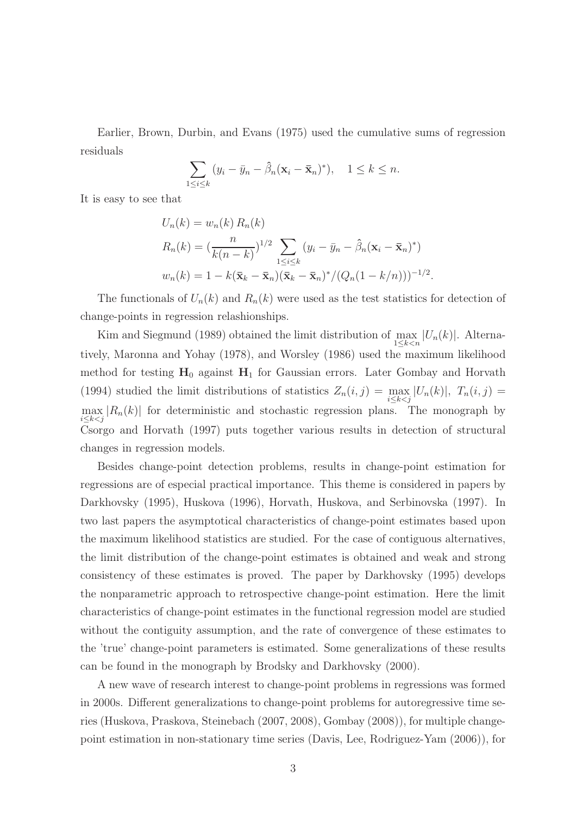Earlier, Brown, Durbin, and Evans (1975) used the cumulative sums of regression residuals

$$
\sum_{1 \le i \le k} (y_i - \bar{y}_n - \hat{\beta}_n (\mathbf{x}_i - \bar{\mathbf{x}}_n)^*), \quad 1 \le k \le n.
$$

It is easy to see that

$$
U_n(k) = w_n(k) R_n(k)
$$
  
\n
$$
R_n(k) = \left(\frac{n}{k(n-k)}\right)^{1/2} \sum_{1 \le i \le k} (y_i - \bar{y}_n - \hat{\beta}_n(\mathbf{x}_i - \bar{\mathbf{x}}_n)^*)
$$
  
\n
$$
w_n(k) = 1 - k(\bar{\mathbf{x}}_k - \bar{\mathbf{x}}_n)(\bar{\mathbf{x}}_k - \bar{\mathbf{x}}_n)^*/(Q_n(1 - k/n)))^{-1/2}
$$

.

The functionals of  $U_n(k)$  and  $R_n(k)$  were used as the test statistics for detection of change-points in regression relashionships.

Kim and Siegmund (1989) obtained the limit distribution of  $\max_{1 \leq k < n} |U_n(k)|$ . Alternatively, Maronna and Yohay (1978), and Worsley (1986) used the maximum likelihood method for testing  $H_0$  against  $H_1$  for Gaussian errors. Later Gombay and Horvath (1994) studied the limit distributions of statistics  $Z_n(i,j) = \max_{i \leq k \leq j} |U_n(k)|$ ,  $T_n(i,j) =$  $\max_{i \leq k < j} |R_n(k)|$  for deterministic and stochastic regression plans. The monograph by Csorgo and Horvath (1997) puts together various results in detection of structural changes in regression models.

Besides change-point detection problems, results in change-point estimation for regressions are of especial practical importance. This theme is considered in papers by Darkhovsky (1995), Huskova (1996), Horvath, Huskova, and Serbinovska (1997). In two last papers the asymptotical characteristics of change-point estimates based upon the maximum likelihood statistics are studied. For the case of contiguous alternatives, the limit distribution of the change-point estimates is obtained and weak and strong consistency of these estimates is proved. The paper by Darkhovsky (1995) develops the nonparametric approach to retrospective change-point estimation. Here the limit characteristics of change-point estimates in the functional regression model are studied without the contiguity assumption, and the rate of convergence of these estimates to the 'true' change-point parameters is estimated. Some generalizations of these results can be found in the monograph by Brodsky and Darkhovsky (2000).

A new wave of research interest to change-point problems in regressions was formed in 2000s. Different generalizations to change-point problems for autoregressive time series (Huskova, Praskova, Steinebach (2007, 2008), Gombay (2008)), for multiple changepoint estimation in non-stationary time series (Davis, Lee, Rodriguez-Yam (2006)), for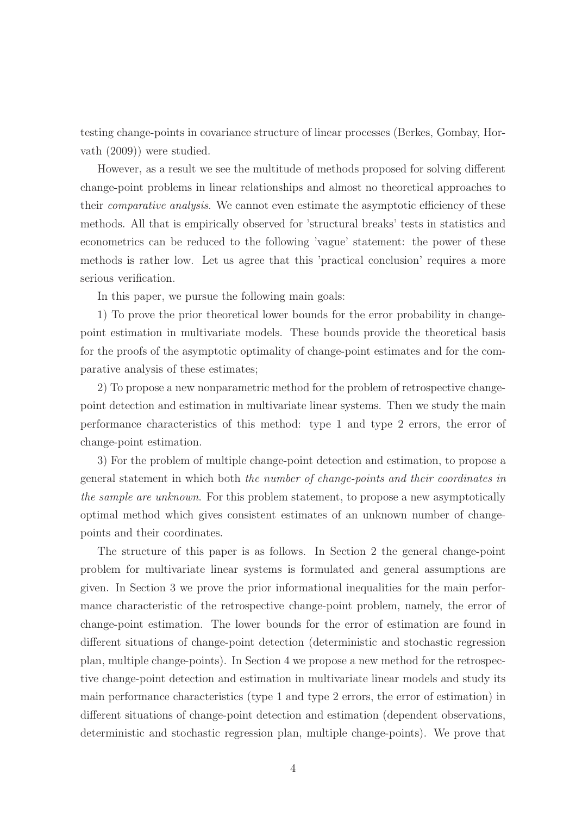testing change-points in covariance structure of linear processes (Berkes, Gombay, Horvath (2009)) were studied.

However, as a result we see the multitude of methods proposed for solving different change-point problems in linear relationships and almost no theoretical approaches to their *comparative analysis*. We cannot even estimate the asymptotic efficiency of these methods. All that is empirically observed for 'structural breaks' tests in statistics and econometrics can be reduced to the following 'vague' statement: the power of these methods is rather low. Let us agree that this 'practical conclusion' requires a more serious verification.

In this paper, we pursue the following main goals:

1) To prove the prior theoretical lower bounds for the error probability in changepoint estimation in multivariate models. These bounds provide the theoretical basis for the proofs of the asymptotic optimality of change-point estimates and for the comparative analysis of these estimates;

2) To propose a new nonparametric method for the problem of retrospective changepoint detection and estimation in multivariate linear systems. Then we study the main performance characteristics of this method: type 1 and type 2 errors, the error of change-point estimation.

3) For the problem of multiple change-point detection and estimation, to propose a general statement in which both the number of change-points and their coordinates in the sample are unknown. For this problem statement, to propose a new asymptotically optimal method which gives consistent estimates of an unknown number of changepoints and their coordinates.

The structure of this paper is as follows. In Section 2 the general change-point problem for multivariate linear systems is formulated and general assumptions are given. In Section 3 we prove the prior informational inequalities for the main performance characteristic of the retrospective change-point problem, namely, the error of change-point estimation. The lower bounds for the error of estimation are found in different situations of change-point detection (deterministic and stochastic regression plan, multiple change-points). In Section 4 we propose a new method for the retrospective change-point detection and estimation in multivariate linear models and study its main performance characteristics (type 1 and type 2 errors, the error of estimation) in different situations of change-point detection and estimation (dependent observations, deterministic and stochastic regression plan, multiple change-points). We prove that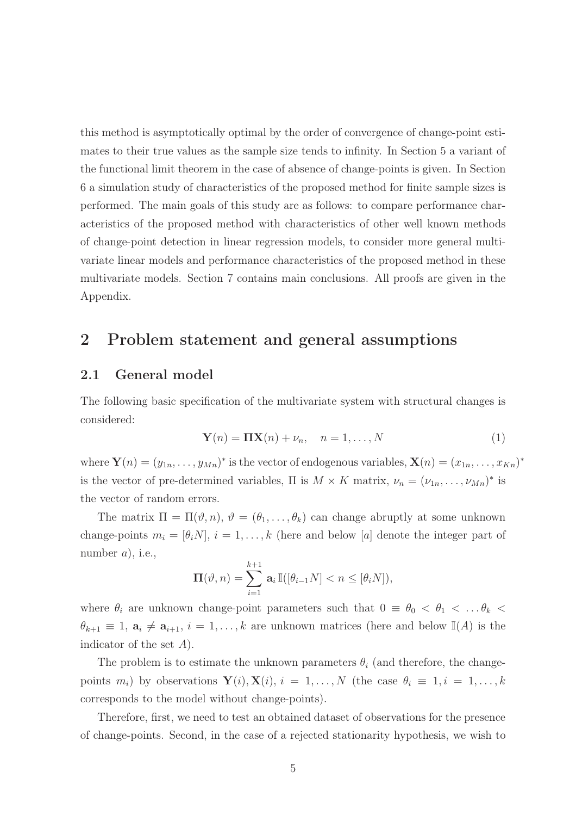this method is asymptotically optimal by the order of convergence of change-point estimates to their true values as the sample size tends to infinity. In Section 5 a variant of the functional limit theorem in the case of absence of change-points is given. In Section 6 a simulation study of characteristics of the proposed method for finite sample sizes is performed. The main goals of this study are as follows: to compare performance characteristics of the proposed method with characteristics of other well known methods of change-point detection in linear regression models, to consider more general multivariate linear models and performance characteristics of the proposed method in these multivariate models. Section 7 contains main conclusions. All proofs are given in the Appendix.

### 2 Problem statement and general assumptions

#### 2.1 General model

The following basic specification of the multivariate system with structural changes is considered:

$$
\mathbf{Y}(n) = \mathbf{\Pi} \mathbf{X}(n) + \nu_n, \quad n = 1, \dots, N \tag{1}
$$

where  $\mathbf{Y}(n) = (y_{1n}, \ldots, y_{Mn})^*$  is the vector of endogenous variables,  $\mathbf{X}(n) = (x_{1n}, \ldots, x_{Kn})^*$ is the vector of pre-determined variables,  $\Pi$  is  $M \times K$  matrix,  $\nu_n = (\nu_{1n}, \ldots, \nu_{Mn})^*$  is the vector of random errors.

The matrix  $\Pi = \Pi(\vartheta, n), \vartheta = (\theta_1, \ldots, \theta_k)$  can change abruptly at some unknown change-points  $m_i = [\theta_i N], i = 1, \ldots, k$  (here and below [a] denote the integer part of number  $a$ , i.e.,

$$
\Pi(\vartheta, n) = \sum_{i=1}^{k+1} \mathbf{a}_i \mathbb{I}([\theta_{i-1}N] < n \leq [\theta_i N]),
$$

where  $\theta_i$  are unknown change-point parameters such that  $0 \equiv \theta_0 < \theta_1 < \ldots \theta_k$  $\theta_{k+1} \equiv 1$ ,  $\mathbf{a}_i \neq \mathbf{a}_{i+1}$ ,  $i = 1, \ldots, k$  are unknown matrices (here and below  $\mathbb{I}(A)$  is the indicator of the set A).

The problem is to estimate the unknown parameters  $\theta_i$  (and therefore, the changepoints  $m_i$ ) by observations  $\mathbf{Y}(i)$ ,  $\mathbf{X}(i)$ ,  $i = 1, \ldots, N$  (the case  $\theta_i \equiv 1, i = 1, \ldots, k$ corresponds to the model without change-points).

Therefore, first, we need to test an obtained dataset of observations for the presence of change-points. Second, in the case of a rejected stationarity hypothesis, we wish to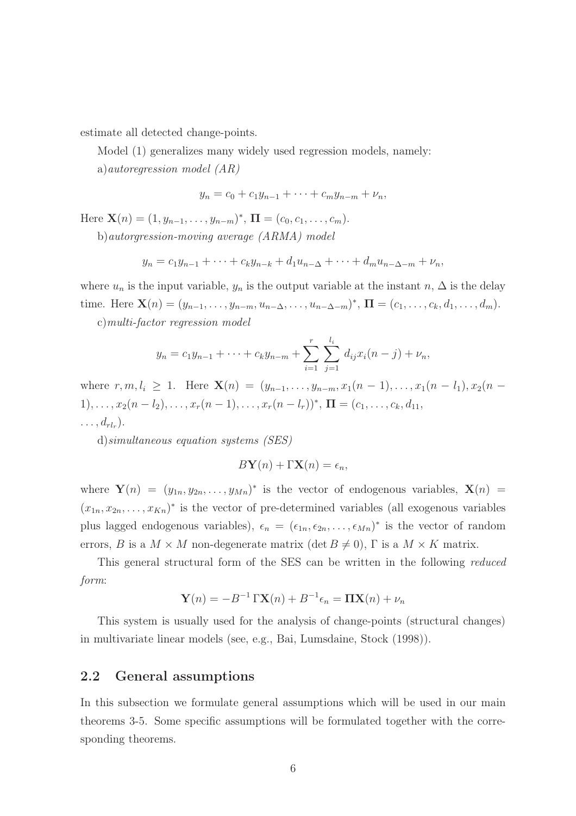estimate all detected change-points.

Model (1) generalizes many widely used regression models, namely:

a)autoregression model (AR)

$$
y_n = c_0 + c_1 y_{n-1} + \dots + c_m y_{n-m} + \nu_n,
$$

Here  $\mathbf{X}(n) = (1, y_{n-1}, \dots, y_{n-m})^*$ ,  $\mathbf{\Pi} = (c_0, c_1, \dots, c_m)$ .

b)autorgression-moving average (ARMA) model

$$
y_n = c_1 y_{n-1} + \dots + c_k y_{n-k} + d_1 u_{n-\Delta} + \dots + d_m u_{n-\Delta-m} + \nu_n,
$$

where  $u_n$  is the input variable,  $y_n$  is the output variable at the instant  $n, \Delta$  is the delay time. Here  $\mathbf{X}(n) = (y_{n-1}, \ldots, y_{n-m}, u_{n-\Delta}, \ldots, u_{n-\Delta-m})^*$ ,  $\mathbf{\Pi} = (c_1, \ldots, c_k, d_1, \ldots, d_m)$ .

c)multi-factor regression model

$$
y_n = c_1 y_{n-1} + \cdots + c_k y_{n-m} + \sum_{i=1}^r \sum_{j=1}^{l_i} d_{ij} x_i (n-j) + \nu_n,
$$

where  $r, m, l_i \geq 1$ . Here  $\mathbf{X}(n) = (y_{n-1}, \ldots, y_{n-m}, x_1(n-1), \ldots, x_1(n-l_1), x_2(n-l_1))$ 1), . . . ,  $x_2(n-l_2), \ldots, x_r(n-1), \ldots, x_r(n-l_r))^*$ ,  $\Pi = (c_1, \ldots, c_k, d_{11},$  $\ldots, d_{rl_r}).$ 

d)simultaneous equation systems (SES)

$$
B\mathbf{Y}(n) + \Gamma \mathbf{X}(n) = \epsilon_n,
$$

where  $\mathbf{Y}(n) = (y_{1n}, y_{2n}, \dots, y_{Mn})^*$  is the vector of endogenous variables,  $\mathbf{X}(n) =$  $(x_{1n}, x_{2n}, \ldots, x_{Kn})^*$  is the vector of pre-determined variables (all exogenous variables plus lagged endogenous variables),  $\epsilon_n = (\epsilon_{1n}, \epsilon_{2n}, \dots, \epsilon_{Mn})^*$  is the vector of random errors, B is a  $M \times M$  non-degenerate matrix (det  $B \neq 0$ ),  $\Gamma$  is a  $M \times K$  matrix.

This general structural form of the SES can be written in the following reduced form:

$$
\mathbf{Y}(n) = -B^{-1}\Gamma \mathbf{X}(n) + B^{-1}\epsilon_n = \mathbf{\Pi} \mathbf{X}(n) + \nu_n
$$

This system is usually used for the analysis of change-points (structural changes) in multivariate linear models (see, e.g., Bai, Lumsdaine, Stock (1998)).

### 2.2 General assumptions

In this subsection we formulate general assumptions which will be used in our main theorems 3-5. Some specific assumptions will be formulated together with the corresponding theorems.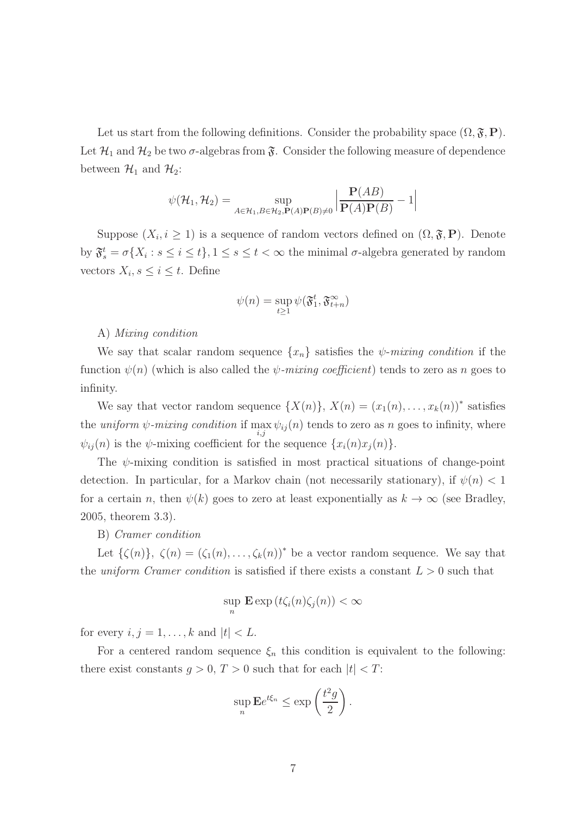Let us start from the following definitions. Consider the probability space  $(\Omega, \mathfrak{F}, P)$ . Let  $\mathcal{H}_1$  and  $\mathcal{H}_2$  be two  $\sigma$ -algebras from  $\mathfrak{F}$ . Consider the following measure of dependence between  $\mathcal{H}_1$  and  $\mathcal{H}_2$ :

$$
\psi(\mathcal{H}_1, \mathcal{H}_2) = \sup_{A \in \mathcal{H}_1, B \in \mathcal{H}_2, \mathbf{P}(A)\mathbf{P}(B) \neq 0} \left| \frac{\mathbf{P}(AB)}{\mathbf{P}(A)\mathbf{P}(B)} - 1 \right|
$$

Suppose  $(X_i, i \geq 1)$  is a sequence of random vectors defined on  $(\Omega, \mathfrak{F}, P)$ . Denote by  $\mathfrak{F}^t_s = \sigma\{X_i : s \leq i \leq t\}, 1 \leq s \leq t < \infty$  the minimal  $\sigma$ -algebra generated by random vectors  $X_i, s \leq i \leq t$ . Define

$$
\psi(n) = \sup_{t \ge 1} \psi(\mathfrak{F}^t_1, \mathfrak{F}^\infty_{t+n})
$$

#### A) Mixing condition

We say that scalar random sequence  $\{x_n\}$  satisfies the  $\psi$ -mixing condition if the function  $\psi(n)$  (which is also called the  $\psi$ -mixing coefficient) tends to zero as n goes to infinity.

We say that vector random sequence  $\{X(n)\}, X(n) = (x_1(n), \ldots, x_k(n))^*$  satisfies the *uniform*  $\psi$ -mixing condition if  $\max_{i,j} \psi_{ij}(n)$  tends to zero as n goes to infinity, where  $\psi_{ij}(n)$  is the  $\psi$ -mixing coefficient for the sequence  $\{x_i(n)x_j(n)\}.$ 

The  $\psi$ -mixing condition is satisfied in most practical situations of change-point detection. In particular, for a Markov chain (not necessarily stationary), if  $\psi(n) < 1$ for a certain n, then  $\psi(k)$  goes to zero at least exponentially as  $k \to \infty$  (see Bradley, 2005, theorem 3.3).

#### B) Cramer condition

Let  $\{\zeta(n)\}, \ \zeta(n) = (\zeta_1(n), \ldots, \zeta_k(n))^*$  be a vector random sequence. We say that the uniform Cramer condition is satisfied if there exists a constant  $L > 0$  such that

$$
\sup_n \mathbf{E} \exp(t\zeta_i(n)\zeta_j(n)) < \infty
$$

for every  $i, j = 1, \ldots, k$  and  $|t| < L$ .

For a centered random sequence  $\xi_n$  this condition is equivalent to the following: there exist constants  $g > 0$ ,  $T > 0$  such that for each  $|t| < T$ :

$$
\sup_{n} \mathbf{E} e^{t\xi_n} \le \exp\left(\frac{t^2 g}{2}\right).
$$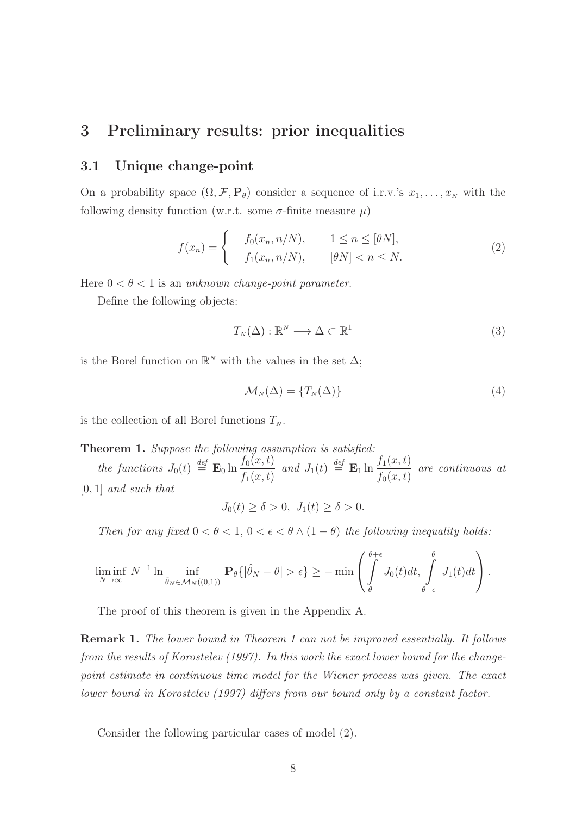### 3 Preliminary results: prior inequalities

### 3.1 Unique change-point

On a probability space  $(\Omega, \mathcal{F}, \mathbf{P}_{\theta})$  consider a sequence of i.r.v.'s  $x_1, \ldots, x_N$  with the following density function (w.r.t. some  $\sigma$ -finite measure  $\mu$ )

$$
f(x_n) = \begin{cases} f_0(x_n, n/N), & 1 \le n \le [\theta N], \\ f_1(x_n, n/N), & [\theta N] < n \le N. \end{cases}
$$
 (2)

Here  $0 < \theta < 1$  is an unknown change-point parameter.

Define the following objects:

$$
T_N(\Delta) : \mathbb{R}^N \longrightarrow \Delta \subset \mathbb{R}^1
$$
 (3)

is the Borel function on  $\mathbb{R}^N$  with the values in the set  $\Delta$ ;

$$
\mathcal{M}_N(\Delta) = \{T_N(\Delta)\}\tag{4}
$$

is the collection of all Borel functions  $T_N$ .

#### Theorem 1. Suppose the following assumption is satisfied:

the functions  $J_0(t) \stackrel{def}{=} \mathbf{E}_0 \ln \frac{f_0(x,t)}{f_0(x,t)}$  $f_1(x,t)$ and  $J_1(t) \stackrel{\text{def}}{=} \mathbf{E}_1 \ln \frac{f_1(x,t)}{f_1(x,t)}$  $f_0(x,t)$ are continuous at [0, 1] and such that

$$
J_0(t) \ge \delta > 0, J_1(t) \ge \delta > 0.
$$

Then for any fixed  $0 < \theta < 1$ ,  $0 < \epsilon < \theta \wedge (1 - \theta)$  the following inequality holds:

$$
\liminf_{N \to \infty} N^{-1} \ln \inf_{\hat{\theta}_N \in \mathcal{M}_N((0,1))} \mathbf{P}_{\theta} \{ |\hat{\theta}_N - \theta| > \epsilon \} \ge - \min \left( \int_{\theta}^{\theta + \epsilon} J_0(t) dt, \int_{\theta - \epsilon}^{\theta} J_1(t) dt \right).
$$

The proof of this theorem is given in the Appendix A.

Remark 1. The lower bound in Theorem 1 can not be improved essentially. It follows from the results of Korostelev (1997). In this work the exact lower bound for the changepoint estimate in continuous time model for the Wiener process was given. The exact lower bound in Korostelev (1997) differs from our bound only by a constant factor.

Consider the following particular cases of model (2).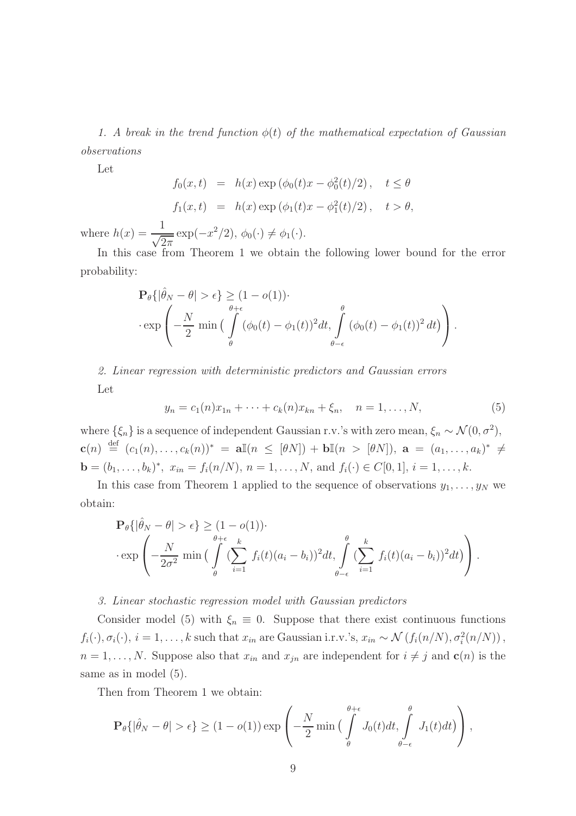1. A break in the trend function  $\phi(t)$  of the mathematical expectation of Gaussian observations

Let

$$
f_0(x,t) = h(x) \exp (\phi_0(t)x - \phi_0^2(t)/2), \quad t \le \theta
$$
  

$$
f_1(x,t) = h(x) \exp (\phi_1(t)x - \phi_1^2(t)/2), \quad t > \theta,
$$

where  $h(x) = \frac{1}{\sqrt{2\pi}} \exp(-x^2/2), \ \phi_0(\cdot) \neq \phi_1(\cdot).$ 

In this case from Theorem 1 we obtain the following lower bound for the error probability:

<sup>P</sup>θ{|ˆθ<sup>N</sup> <sup>−</sup> <sup>θ</sup><sup>|</sup> > ǫ} ≥ (1 <sup>−</sup> <sup>o</sup>(1))· · exp − N 2 min Z θ+ǫ θ (φ0(t) <sup>−</sup> <sup>φ</sup>1(t))<sup>2</sup> dt, <sup>Z</sup> θ θ−ǫ (φ0(t) <sup>−</sup> <sup>φ</sup>1(t))<sup>2</sup> dt .

2. Linear regression with deterministic predictors and Gaussian errors Let

$$
y_n = c_1(n)x_{1n} + \dots + c_k(n)x_{kn} + \xi_n, \quad n = 1, \dots, N,
$$
 (5)

where  $\{\xi_n\}$  is a sequence of independent Gaussian r.v.'s with zero mean,  $\xi_n \sim \mathcal{N}(0, \sigma^2)$ ,  $\mathbf{c}(n) \stackrel{\text{def}}{=} (c_1(n), \ldots, c_k(n))^* = \mathbf{a}\mathbb{I}(n \leq [\theta N]) + \mathbf{b}\mathbb{I}(n > [\theta N]), \ \mathbf{a} = (a_1, \ldots, a_k)^* \neq$ **b** =  $(b_1, ..., b_k)^*$ ,  $x_{in} = f_i(n/N)$ ,  $n = 1, ..., N$ , and  $f_i(\cdot) \in C[0, 1]$ ,  $i = 1, ..., k$ .

In this case from Theorem 1 applied to the sequence of observations  $y_1, \ldots, y_N$  we obtain:

<sup>P</sup>θ{|ˆθ<sup>N</sup> <sup>−</sup> <sup>θ</sup><sup>|</sup> > ǫ} ≥ (1 <sup>−</sup> <sup>o</sup>(1))· · exp − N 2σ <sup>2</sup> min Z θ+ǫ θ ( X k i=1 <sup>f</sup>i(t)(a<sup>i</sup> <sup>−</sup> <sup>b</sup>i))<sup>2</sup> dt, <sup>Z</sup> θ θ−ǫ ( X k i=1 <sup>f</sup>i(t)(a<sup>i</sup> <sup>−</sup> <sup>b</sup>i))<sup>2</sup> dt .

#### 3. Linear stochastic regression model with Gaussian predictors

Consider model (5) with  $\xi_n \equiv 0$ . Suppose that there exist continuous functions  $f_i(\cdot), \sigma_i(\cdot), i = 1, \ldots, k$  such that  $x_{in}$  are Gaussian i.r.v.'s,  $x_{in} \sim \mathcal{N}(f_i(n/N), \sigma_i^2(n/N))$ ,  $n = 1, \ldots, N$ . Suppose also that  $x_{in}$  and  $x_{jn}$  are independent for  $i \neq j$  and  $c(n)$  is the same as in model (5).

Then from Theorem 1 we obtain:

$$
\mathbf{P}_{\theta}\{|\hat{\theta}_{N} - \theta| > \epsilon\} \ge (1 - o(1)) \exp\left(-\frac{N}{2} \min\left(\int\limits_{\theta}^{\theta+\epsilon} J_{0}(t)dt, \int\limits_{\theta-\epsilon}^{\theta} J_{1}(t)dt\right)\right),
$$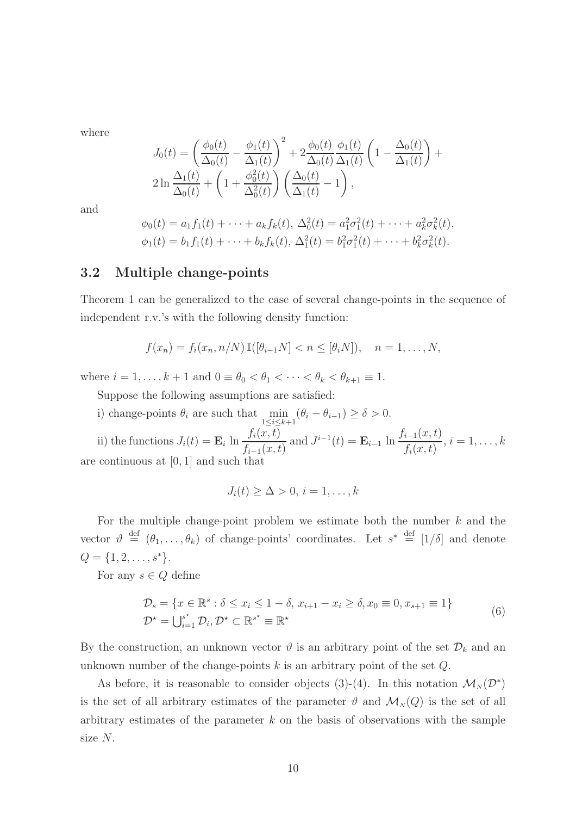where

$$
J_0(t) = \left(\frac{\phi_0(t)}{\Delta_0(t)} - \frac{\phi_1(t)}{\Delta_1(t)}\right)^2 + 2\frac{\phi_0(t)}{\Delta_0(t)}\frac{\phi_1(t)}{\Delta_1(t)} \left(1 - \frac{\Delta_0(t)}{\Delta_1(t)}\right) + 2\ln\frac{\Delta_1(t)}{\Delta_0(t)} + \left(1 + \frac{\phi_0^2(t)}{\Delta_0^2(t)}\right)\left(\frac{\Delta_0(t)}{\Delta_1(t)} - 1\right),
$$

and

$$
\phi_0(t) = a_1 f_1(t) + \dots + a_k f_k(t), \ \Delta_0^2(t) = a_1^2 \sigma_1^2(t) + \dots + a_k^2 \sigma_k^2(t),
$$
  

$$
\phi_1(t) = b_1 f_1(t) + \dots + b_k f_k(t), \ \Delta_1^2(t) = b_1^2 \sigma_1^2(t) + \dots + b_k^2 \sigma_k^2(t).
$$

### 3.2 Multiple change-points

Theorem 1 can be generalized to the case of several change-points in the sequence of independent r.v.'s with the following density function:

$$
f(x_n) = f_i(x_n, n/N) \mathbb{I}([\theta_{i-1}N] < n \leq [\theta_i N]), \quad n = 1, \dots, N,
$$

where  $i = 1, \ldots, k + 1$  and  $0 \equiv \theta_0 < \theta_1 < \cdots < \theta_k < \theta_{k+1} \equiv 1$ .

Suppose the following assumptions are satisfied:

i) change-points  $\theta_i$  are such that  $\min_{1 \leq i \leq k+1} (\theta_i - \theta_{i-1}) \geq \delta > 0$ .

ii) the functions  $J_i(t) = \mathbf{E}_i \ln \frac{f_i(x,t)}{f_i(x,t)}$  $f_{i-1}(x,t)$ and  $J^{i-1}(t) = \mathbf{E}_{i-1} \ln \frac{f_{i-1}(x,t)}{f(x,t)}$  $f_i(x,t)$  $, i = 1, \ldots, k$ are continuous at [0, 1] and such that

$$
J_i(t) \geq \Delta > 0, i = 1, \ldots, k
$$

For the multiple change-point problem we estimate both the number  $k$  and the vector  $\vartheta \stackrel{\text{def}}{=} (\theta_1, \ldots, \theta_k)$  of change-points' coordinates. Let  $s^* \stackrel{\text{def}}{=} [1/\delta]$  and denote  $Q = \{1, 2, \ldots, s^*\}.$ 

For any  $s \in Q$  define

$$
\mathcal{D}_s = \{x \in \mathbb{R}^s : \delta \le x_i \le 1 - \delta, x_{i+1} - x_i \ge \delta, x_0 \equiv 0, x_{s+1} \equiv 1\}
$$
  

$$
\mathcal{D}^* = \bigcup_{i=1}^{s^*} \mathcal{D}_i, \mathcal{D}^* \subset \mathbb{R}^{s^*} \equiv \mathbb{R}^*
$$
 (6)

By the construction, an unknown vector  $\vartheta$  is an arbitrary point of the set  $\mathcal{D}_k$  and an unknown number of the change-points  $k$  is an arbitrary point of the set  $Q$ .

As before, it is reasonable to consider objects (3)-(4). In this notation  $\mathcal{M}_N(\mathcal{D}^*)$ is the set of all arbitrary estimates of the parameter  $\vartheta$  and  $\mathcal{M}_N(Q)$  is the set of all arbitrary estimates of the parameter  $k$  on the basis of observations with the sample size N.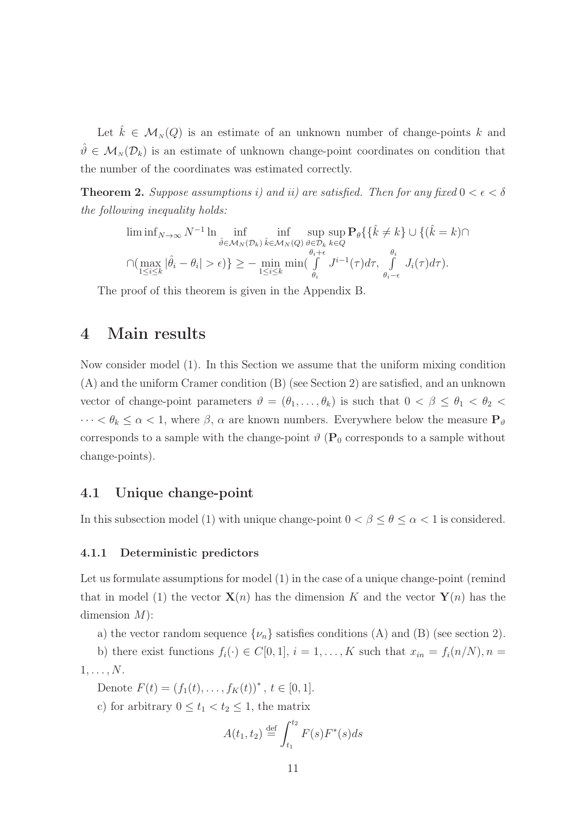Let  $\hat{k} \in M_N(Q)$  is an estimate of an unknown number of change-points k and  $\hat{\theta} \in \mathcal{M}_N(\mathcal{D}_k)$  is an estimate of unknown change-point coordinates on condition that the number of the coordinates was estimated correctly.

**Theorem 2.** Suppose assumptions i) and ii) are satisfied. Then for any fixed  $0 < \epsilon < \delta$ the following inequality holds:

$$
\liminf_{\delta \in \mathcal{M}_N(\mathcal{D}_k)} \inf_{\substack{\hat{\theta} \in \mathcal{M}_N(\mathcal{D}_k)}} \inf_{\substack{\hat{k} \in \mathcal{M}_N(Q) \\ \theta \in \mathcal{D}_k}} \sup_{\substack{\hat{\theta} \in \mathcal{D}_k \\ \theta_i + \epsilon}} \mathbf{P}_{\theta} \{ \{\hat{k} \neq k\} \cup \{(\hat{k} = k) \cap \mathcal{D}_k : \hat{\theta}_i \neq \epsilon\}} \inf_{\substack{\theta_i \in \mathcal{D}_k \\ \theta_i + \epsilon}} \inf_{\substack{\hat{\theta}_i \in \mathcal{D}_k \\ \theta_i - \epsilon}} \mathbf{P}_{\theta} \{ \{\hat{k} \neq k\} \cup \{(\hat{k} = k) \cap \mathcal{D}_k : \hat{\theta}_i \neq \epsilon\}} \inf_{\theta_i \in \mathcal{D}_k} \mathbf{P}_{\theta} \{ \{\hat{k} \neq k\} \cup \{(\hat{k} = k) \cap \mathcal{D}_k : \hat{\theta}_i \neq \epsilon\}} \inf_{\theta_i \in \mathcal{D}_k} \mathbf{P}_{\theta} \{ \{\hat{k} \neq k\} \cup \{(\hat{k} = k) \cap \mathcal{D}_k : \hat{\theta}_i \neq \epsilon\}} \mathbf{P}_{\theta} \{ \{\hat{k} \neq k\} \cup \{(\hat{k} = k) \cap \mathcal{D}_k : \hat{\theta}_i \neq \epsilon\}} \}
$$

The proof of this theorem is given in the Appendix B.

### 4 Main results

Now consider model (1). In this Section we assume that the uniform mixing condition (A) and the uniform Cramer condition (B) (see Section 2) are satisfied, and an unknown vector of change-point parameters  $\vartheta = (\theta_1, \ldots, \theta_k)$  is such that  $0 < \beta \leq \theta_1 < \theta_2 <$  $\cdots < \theta_k \leq \alpha < 1$ , where  $\beta$ ,  $\alpha$  are known numbers. Everywhere below the measure  $P_{\vartheta}$ corresponds to a sample with the change-point  $\vartheta$  ( $P_0$  corresponds to a sample without change-points).

### 4.1 Unique change-point

In this subsection model (1) with unique change-point  $0 < \beta \leq \theta \leq \alpha < 1$  is considered.

#### 4.1.1 Deterministic predictors

Let us formulate assumptions for model (1) in the case of a unique change-point (remind that in model (1) the vector  $\mathbf{X}(n)$  has the dimension K and the vector  $\mathbf{Y}(n)$  has the dimension  $M$ ):

a) the vector random sequence  $\{\nu_n\}$  satisfies conditions (A) and (B) (see section 2).

b) there exist functions  $f_i(\cdot) \in C[0,1], i = 1, ..., K$  such that  $x_{in} = f_i(n/N), n =$  $1, \ldots, N$ .

Denote  $F(t) = (f_1(t), \ldots, f_K(t))^*$ ,  $t \in [0, 1]$ .

c) for arbitrary  $0 \le t_1 < t_2 \le 1$ , the matrix

$$
A(t_1, t_2) \stackrel{\text{def}}{=} \int_{t_1}^{t_2} F(s) F^*(s) ds
$$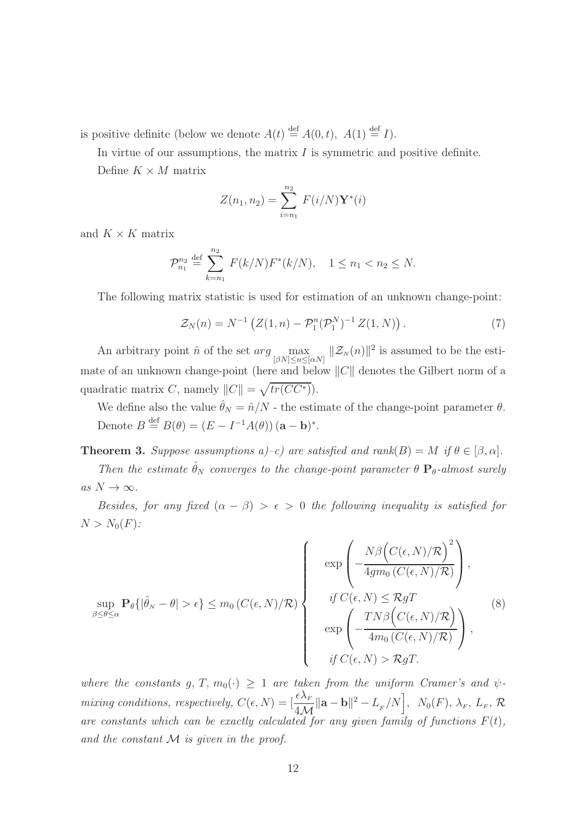is positive definite (below we denote  $A(t) \stackrel{\text{def}}{=} A(0,t)$ ,  $A(1) \stackrel{\text{def}}{=} I$ ).

In virtue of our assumptions, the matrix  $I$  is symmetric and positive definite.

Define  $K \times M$  matrix

$$
Z(n_1, n_2) = \sum_{i=n_1}^{n_2} F(i/N) \mathbf{Y}^*(i)
$$

and  $K \times K$  matrix

$$
\mathcal{P}_{n_1}^{n_2} \stackrel{\text{def}}{=} \sum_{k=n_1}^{n_2} F(k/N) F^*(k/N), \quad 1 \le n_1 < n_2 \le N.
$$

The following matrix statistic is used for estimation of an unknown change-point:

$$
\mathcal{Z}_N(n) = N^{-1} \left( Z(1, n) - \mathcal{P}_1^n(\mathcal{P}_1^N)^{-1} Z(1, N) \right). \tag{7}
$$

An arbitrary point  $\hat{n}$  of the set  $arg \max_{[\beta N] \leq n \leq [\alpha N]} ||\mathcal{Z}_N(n)||^2$  is assumed to be the estimate of an unknown change-point (here and below  $||C||$  denotes the Gilbert norm of a quadratic matrix C, namely  $||C|| = \sqrt{tr(CC^*)}$ .

We define also the value  $\hat{\theta}_N = \hat{n}/N$  - the estimate of the change-point parameter  $\theta$ . Denote  $B \stackrel{\text{def}}{=} B(\theta) = (E - I^{-1}A(\theta)) (\mathbf{a} - \mathbf{b})^*$ .

**Theorem 3.** Suppose assumptions  $a$ )–c) are satisfied and rank $(B) = M$  if  $\theta \in [\beta, \alpha]$ .

Then the estimate  $\hat{\theta}_N$  converges to the change-point parameter  $\theta \mathbf{P}_{\theta}$ -almost surely as  $N \to \infty$ .

Besides, for any fixed  $(\alpha - \beta) > \epsilon > 0$  the following inequality is satisfied for  $N > N_0(F)$ :

$$
\sup_{\beta \leq \theta \leq \alpha} \mathbf{P}_{\theta}\{|\hat{\theta}_{N} - \theta| > \epsilon\} \leq m_{0} \left(C(\epsilon, N)/\mathcal{R}\right) \left\{\n\begin{array}{c}\n\exp\left(-\frac{N\beta\left(C(\epsilon, N)/\mathcal{R}\right)^{2}}{4g m_{0} \left(C(\epsilon, N)/\mathcal{R}\right)}\right), \\
\text{if } C(\epsilon, N) \leq \mathcal{R} g T \\
\exp\left(-\frac{TN\beta\left(C(\epsilon, N)/\mathcal{R}\right)}{4m_{0} \left(C(\epsilon, N)/\mathcal{R}\right)}\right), \\
\text{if } C(\epsilon, N) > \mathcal{R} g T.\n\end{array}\n\right\} (8)
$$

where the constants g, T,  $m_0(\cdot) \geq 1$  are taken from the uniform Cramer's and  $\psi$ mixing conditions, respectively,  $C(\epsilon, N) = \left[\frac{\epsilon \lambda_F}{4\epsilon N}\right]$  $4\mathcal{M}$  $\|\mathbf{a} - \mathbf{b}\|^2 - L_F/N$ ,  $N_0(F)$ ,  $\lambda_F$ ,  $L_F$ ,  $\mathcal{R}$ are constants which can be exactly calculated for any given family of functions  $F(t)$ , and the constant  $M$  is given in the proof.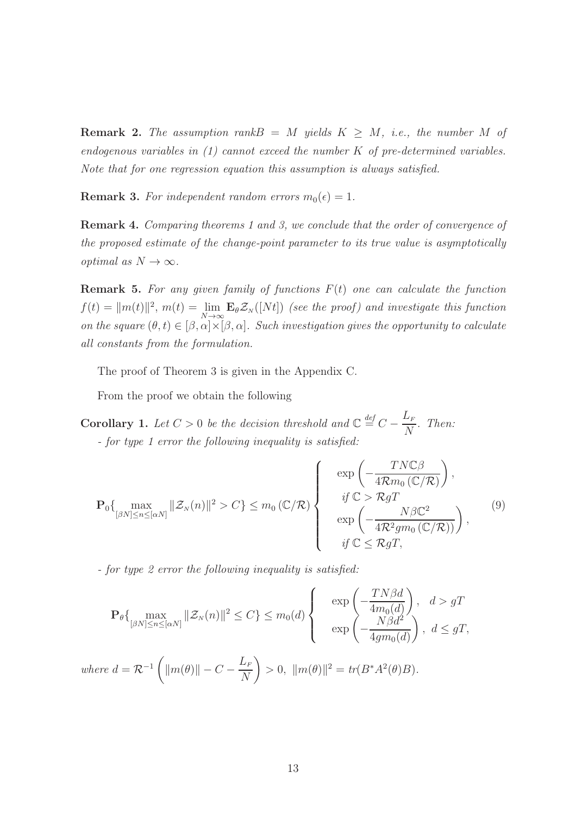**Remark 2.** The assumption rank $B = M$  yields  $K > M$ , i.e., the number M of endogenous variables in  $(1)$  cannot exceed the number K of pre-determined variables. Note that for one regression equation this assumption is always satisfied.

**Remark 3.** For independent random errors  $m_0(\epsilon) = 1$ .

Remark 4. Comparing theorems 1 and 3, we conclude that the order of convergence of the proposed estimate of the change-point parameter to its true value is asymptotically optimal as  $N \to \infty$ .

**Remark 5.** For any given family of functions  $F(t)$  one can calculate the function  $f(t) = ||m(t)||^2$ ,  $m(t) = \lim_{N \to \infty} \mathbf{E}_{\theta} \mathcal{Z}_N([Nt])$  (see the proof) and investigate this function on the square  $(\theta, t) \in [\beta, \alpha] \times [\beta, \alpha]$ . Such investigation gives the opportunity to calculate all constants from the formulation.

The proof of Theorem 3 is given in the Appendix C.

From the proof we obtain the following

**Corollary 1.** Let  $C > 0$  be the decision threshold and  $\mathbb{C} \stackrel{\text{def}}{=} C L_{\scriptscriptstyle F}$ N . Then: - for type 1 error the following inequality is satisfied:

$$
\mathbf{P}_{0}\left\{\max_{[\beta N]\leq n\leq[\alpha N]}||\mathcal{Z}_{N}(n)||^{2} > C\right\} \leq m_{0} \left(\mathbb{C}/\mathcal{R}\right) \left\{\begin{array}{c}\exp\left(-\frac{TN\mathbb{C}\beta}{4\mathcal{R}m_{0}\left(\mathbb{C}/\mathcal{R}\right)}\right),\\if\mathbb{C} > \mathcal{R}gT\\exp\left(-\frac{N\beta\mathbb{C}^{2}}{4\mathcal{R}^{2}gm_{0}\left(\mathbb{C}/\mathcal{R}\right)}\right),\\if\mathbb{C} \leq \mathcal{R}gT,\end{array}\right.\tag{9}
$$

- for type 2 error the following inequality is satisfied:

$$
\mathbf{P}_{\theta}\left\{\max_{[\beta N] \le n \le [\alpha N]} \|\mathcal{Z}_N(n)\|^2 \le C\right\} \le m_0(d) \left\{\begin{array}{c} \exp\left(-\frac{TN\beta d}{4m_0(d)}\right), & d > gT \\ \exp\left(-\frac{N\beta d^2}{4gm_0(d)}\right), & d \le gT, \end{array}\right.
$$

where 
$$
d = \mathcal{R}^{-1} \left( ||m(\theta)|| - C - \frac{L_F}{N} \right) > 0, ||m(\theta)||^2 = tr(B^*A^2(\theta)B).
$$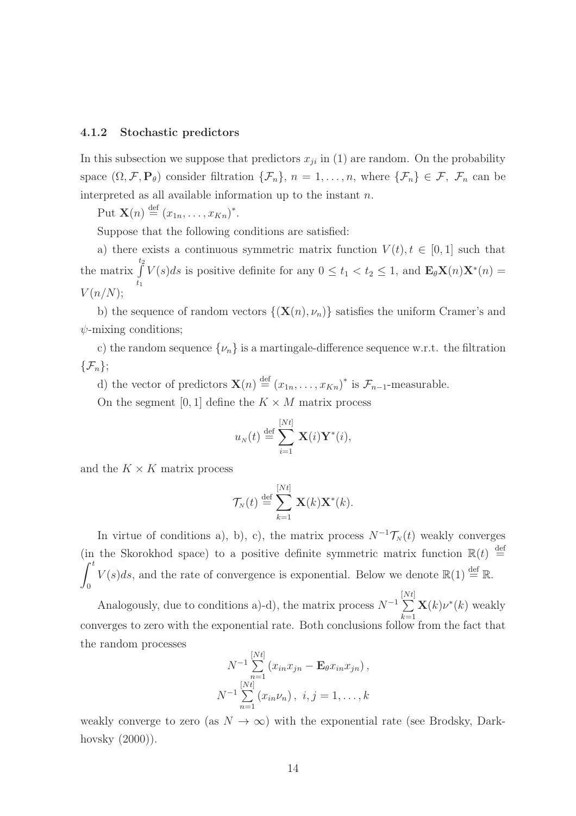#### 4.1.2 Stochastic predictors

In this subsection we suppose that predictors  $x_{ji}$  in (1) are random. On the probability space  $(\Omega, \mathcal{F}, \mathbf{P}_{\theta})$  consider filtration  $\{\mathcal{F}_n\}$ ,  $n = 1, \ldots, n$ , where  $\{\mathcal{F}_n\} \in \mathcal{F}$ ,  $\mathcal{F}_n$  can be interpreted as all available information up to the instant  $n$ .

Put  $\mathbf{X}(n) \stackrel{\text{def}}{=} (x_{1n}, \ldots, x_{Kn})^*$ .

Suppose that the following conditions are satisfied:

a) there exists a continuous symmetric matrix function  $V(t)$ ,  $t \in [0, 1]$  such that the matrix  $\int$  $t_2$  $\int_{t_1}^{\tilde{t}} V(s)ds$  is positive definite for any  $0 \le t_1 < t_2 \le 1$ , and  $\mathbf{E}_{\theta} \mathbf{X}(n) \mathbf{X}^*(n) =$  $V(n/N);$ 

b) the sequence of random vectors  $\{(\mathbf{X}(n), \nu_n)\}\$  satisfies the uniform Cramer's and  $\psi$ -mixing conditions;

c) the random sequence  $\{\nu_n\}$  is a martingale-difference sequence w.r.t. the filtration  $\{\mathcal{F}_n\};$ 

d) the vector of predictors  $\mathbf{X}(n) \stackrel{\text{def}}{=} (x_{1n}, \ldots, x_{Kn})^*$  is  $\mathcal{F}_{n-1}$ -measurable.

On the segment [0, 1] define the  $K \times M$  matrix process

$$
u_N(t) \stackrel{\text{def}}{=} \sum_{i=1}^{[Nt]} \mathbf{X}(i) \mathbf{Y}^*(i),
$$

and the  $K \times K$  matrix process

$$
\mathcal{T}_N(t) \stackrel{\text{def}}{=} \sum_{k=1}^{[Nt]} \mathbf{X}(k) \mathbf{X}^*(k).
$$

In virtue of conditions a), b), c), the matrix process  $N^{-1}\mathcal{T}_{N}(t)$  weakly converges (in the Skorokhod space) to a positive definite symmetric matrix function  $\mathbb{R}(t) \stackrel{\text{def}}{=}$  $\int_0^t$ 0  $V(s)ds$ , and the rate of convergence is exponential. Below we denote  $\mathbb{R}(1) \stackrel{\text{def}}{=} \mathbb{R}$ .

Analogously, due to conditions a)-d), the matrix process  $N^{-1}$ <sup>[</sup>  $\sum$  $N t]$  $_{k=1}$  $\mathbf{X}(k)\nu^*(k)$  weakly converges to zero with the exponential rate. Both conclusions follow from the fact that the random processes

$$
N^{-1} \sum_{n=1}^{[Nt]} (x_{in}x_{jn} - \mathbf{E}_{\theta}x_{in}x_{jn}),
$$
  

$$
N^{-1} \sum_{n=1}^{[Nt]} (x_{in} \nu_n), i, j = 1, ..., k
$$

weakly converge to zero (as  $N \to \infty$ ) with the exponential rate (see Brodsky, Darkhovsky (2000)).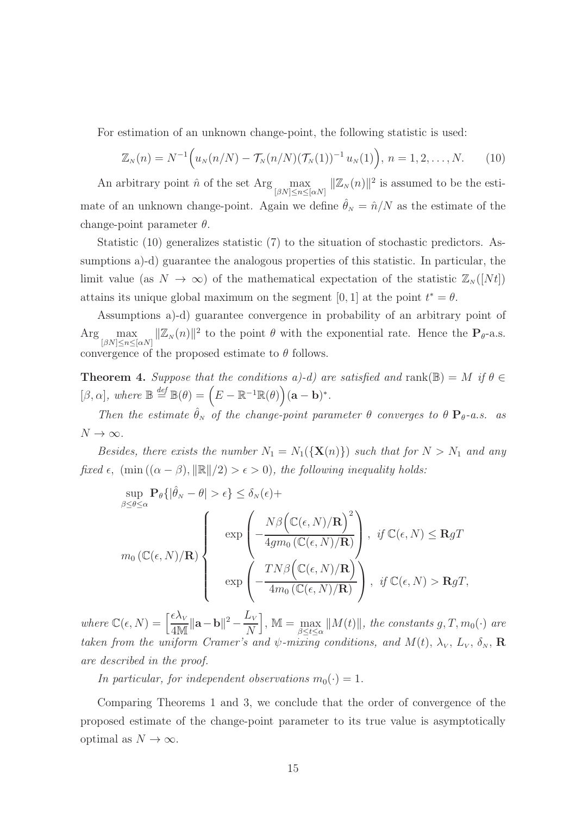For estimation of an unknown change-point, the following statistic is used:

$$
\mathbb{Z}_N(n) = N^{-1} \Big( u_N(n/N) - \mathcal{T}_N(n/N) (\mathcal{T}_N(1))^{-1} u_N(1) \Big), \ n = 1, 2, \dots, N. \tag{10}
$$

An arbitrary point  $\hat{n}$  of the set Arg  $\max_{[\beta N] \le n \le [\alpha N]} ||\mathbb{Z}_N(n)||^2$  is assumed to be the estimate of an unknown change-point. Again we define  $\hat{\theta}_N = \hat{n}/N$  as the estimate of the change-point parameter  $\theta$ .

Statistic (10) generalizes statistic (7) to the situation of stochastic predictors. Assumptions a)-d) guarantee the analogous properties of this statistic. In particular, the limit value (as  $N \to \infty$ ) of the mathematical expectation of the statistic  $\mathbb{Z}_N([N_t])$ attains its unique global maximum on the segment [0, 1] at the point  $t^* = \theta$ .

Assumptions a)-d) guarantee convergence in probability of an arbitrary point of  $\text{Arg} \max_{[\beta N] \leq n \leq [\alpha N]} ||\mathbb{Z}_N(n)||^2$  to the point  $\theta$  with the exponential rate. Hence the  $\mathbf{P}_{\theta}$ -a.s. convergence of the proposed estimate to  $\theta$  follows.

**Theorem 4.** Suppose that the conditions a)-d) are satisfied and rank( $\mathbb{B}$ ) = M if  $\theta \in$  $[\beta, \alpha],$  where  $\mathbb{B} \stackrel{def}{=} \mathbb{B}(\theta) = (E - \mathbb{R}^{-1} \mathbb{R}(\theta)) (\mathbf{a} - \mathbf{b})^*.$ 

Then the estimate  $\hat{\theta}_N$  of the change-point parameter  $\theta$  converges to  $\theta \mathbf{P}_{\theta}$ -a.s. as  $N \to \infty$ .

Besides, there exists the number  $N_1 = N_1({\bf X}(n))$  such that for  $N > N_1$  and any fixed  $\epsilon$ ,  $(\min((\alpha - \beta), ||\mathbb{R}||/2) > \epsilon > 0)$ , the following inequality holds:

$$
\sup_{\beta \leq \theta \leq \alpha} \mathbf{P}_{\theta} \{ |\hat{\theta}_{N} - \theta| > \epsilon \} \leq \delta_{N}(\epsilon) +
$$
\n
$$
m_{0} (\mathbb{C}(\epsilon, N) / \mathbf{R}) \left\{ \exp \left( -\frac{N \beta \left( \mathbb{C}(\epsilon, N) / \mathbf{R} \right)^{2}}{4g m_{0} (\mathbb{C}(\epsilon, N) / \mathbf{R})} \right), \text{ if } \mathbb{C}(\epsilon, N) \leq \mathbf{R} g T \right\}
$$
\n
$$
\exp \left( -\frac{T N \beta \left( \mathbb{C}(\epsilon, N) / \mathbf{R} \right)}{4m_{0} (\mathbb{C}(\epsilon, N) / \mathbf{R})} \right), \text{ if } \mathbb{C}(\epsilon, N) > \mathbf{R} g T,
$$

where  $\mathbb{C}(\epsilon, N) = \left[\frac{\epsilon \lambda_{V}}{4N}\right]$  $\frac{\epsilon \lambda_{_V}}{4\mathbb{M}}\|\mathbf{a}-\mathbf{b}\|^2 - \frac{L_v}{N}$ N  $\big], \mathbb{M} = \max_{\beta \leq t \leq \alpha} ||M(t)||$ , the constants  $g, T, m_0(\cdot)$  are taken from the uniform Cramer's and  $\psi$ -mixing conditions, and  $M(t)$ ,  $\lambda_V$ ,  $L_V$ ,  $\delta_N$ , **R** are described in the proof.

In particular, for independent observations  $m_0(\cdot) = 1$ .

Comparing Theorems 1 and 3, we conclude that the order of convergence of the proposed estimate of the change-point parameter to its true value is asymptotically optimal as  $N \to \infty$ .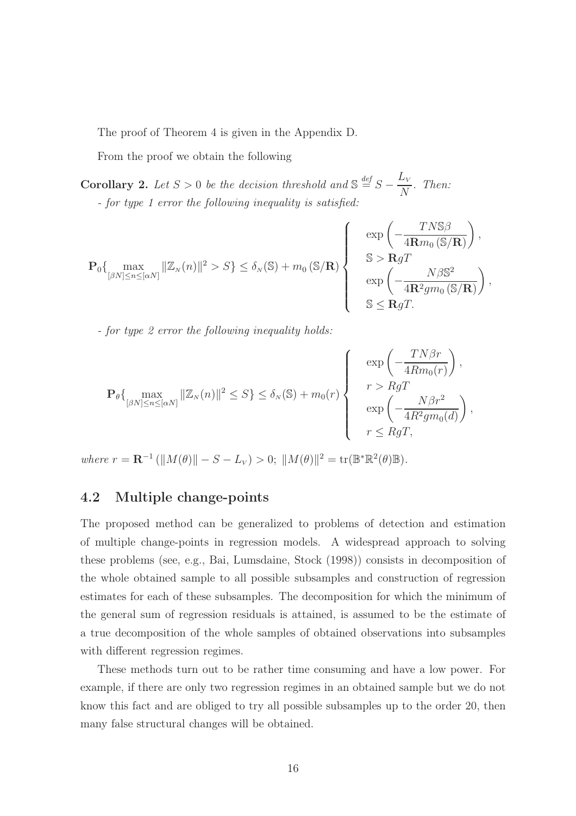The proof of Theorem 4 is given in the Appendix D.

From the proof we obtain the following

**Corollary 2.** Let  $S > 0$  be the decision threshold and  $\mathbb{S} \stackrel{def}{=} S L_{\rm V}$  $\overline{N}$ . Then: - for type 1 error the following inequality is satisfied:

$$
\mathbf{P}_{0}\left\{\max_{[\beta N]\leq n\leq[\alpha N]}\|\mathbb{Z}_{N}(n)\|^{2} > S\right\} \leq \delta_{N}(\mathbb{S}) + m_{0}(\mathbb{S}/\mathbf{R}) \left\{\begin{array}{c} \exp\left(-\frac{T N \mathbb{S}\beta}{4\mathbf{R}m_{0}\left(\mathbb{S}/\mathbf{R}\right)}\right), \\ \mathbb{S} > \mathbf{R}gT \\ \exp\left(-\frac{N\beta \mathbb{S}^{2}}{4\mathbf{R}^{2}g m_{0}\left(\mathbb{S}/\mathbf{R}\right)}\right), \\ \mathbb{S} \leq \mathbf{R}gT. \end{array}\right\}
$$

- for type 2 error the following inequality holds:

$$
\mathbf{P}_{\theta}\left\{\max_{[\beta N]\leq n\leq[\alpha N]}\|\mathbb{Z}_{N}(n)\|^2\leq S\right\}\leq\delta_{N}(\mathbb{S})+m_{0}(r)\left\{\begin{array}{c}\exp\left(-\frac{TN\beta r}{4Rm_{0}(r)}\right),\\r>RgT\\exp\left(-\frac{N\beta r^2}{4R^2gm_{0}(d)}\right),\\r\leq RgT,\end{array}\right\}
$$

 $T \times R$ 

 $where r = \mathbf{R}^{-1} (||M(\theta)|| - S - L_V) > 0; ||M(\theta)||^2 = tr(\mathbb{B}^* \mathbb{R}^2(\theta) \mathbb{B}).$ 

### 4.2 Multiple change-points

The proposed method can be generalized to problems of detection and estimation of multiple change-points in regression models. A widespread approach to solving these problems (see, e.g., Bai, Lumsdaine, Stock (1998)) consists in decomposition of the whole obtained sample to all possible subsamples and construction of regression estimates for each of these subsamples. The decomposition for which the minimum of the general sum of regression residuals is attained, is assumed to be the estimate of a true decomposition of the whole samples of obtained observations into subsamples with different regression regimes.

These methods turn out to be rather time consuming and have a low power. For example, if there are only two regression regimes in an obtained sample but we do not know this fact and are obliged to try all possible subsamples up to the order 20, then many false structural changes will be obtained.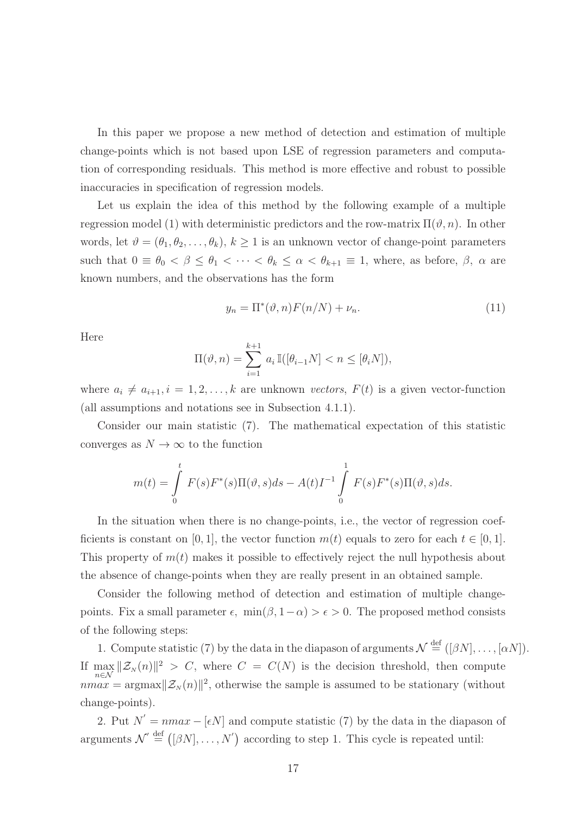In this paper we propose a new method of detection and estimation of multiple change-points which is not based upon LSE of regression parameters and computation of corresponding residuals. This method is more effective and robust to possible inaccuracies in specification of regression models.

Let us explain the idea of this method by the following example of a multiple regression model (1) with deterministic predictors and the row-matrix  $\Pi(\vartheta, n)$ . In other words, let  $\vartheta = (\theta_1, \theta_2, \dots, \theta_k), k \ge 1$  is an unknown vector of change-point parameters such that  $0 \equiv \theta_0 < \beta \leq \theta_1 < \cdots < \theta_k \leq \alpha < \theta_{k+1} \equiv 1$ , where, as before,  $\beta$ ,  $\alpha$  are known numbers, and the observations has the form

$$
y_n = \Pi^*(\vartheta, n) F(n/N) + \nu_n. \tag{11}
$$

Here

$$
\Pi(\vartheta, n) = \sum_{i=1}^{k+1} a_i \mathbb{I}([\theta_{i-1}N] < n \leq [\theta_i N]),
$$

where  $a_i \neq a_{i+1}, i = 1, 2, ..., k$  are unknown vectors,  $F(t)$  is a given vector-function (all assumptions and notations see in Subsection 4.1.1).

Consider our main statistic (7). The mathematical expectation of this statistic converges as  $N \to \infty$  to the function

$$
m(t) = \int_{0}^{t} F(s)F^{*}(s)\Pi(\vartheta, s)ds - A(t)I^{-1}\int_{0}^{1} F(s)F^{*}(s)\Pi(\vartheta, s)ds.
$$

In the situation when there is no change-points, i.e., the vector of regression coefficients is constant on [0, 1], the vector function  $m(t)$  equals to zero for each  $t \in [0, 1]$ . This property of  $m(t)$  makes it possible to effectively reject the null hypothesis about the absence of change-points when they are really present in an obtained sample.

Consider the following method of detection and estimation of multiple changepoints. Fix a small parameter  $\epsilon$ , min $(\beta, 1-\alpha) > \epsilon > 0$ . The proposed method consists of the following steps:

1. Compute statistic (7) by the data in the diapason of arguments  $\mathcal{N} \stackrel{\text{def}}{=} ([\beta N], \ldots, [\alpha N])$ . If  $\max_{n\in\mathcal{N}}\|\mathcal{Z}_N(n)\|^2 > C$ , where  $C = C(N)$  is the decision threshold, then compute  $nmax = \text{argmax} ||\mathcal{Z}_N(n)||^2$ , otherwise the sample is assumed to be stationary (without change-points).

2. Put  $N' = nmax - [\epsilon N]$  and compute statistic (7) by the data in the diapason of arguments  $\mathcal{N}' \stackrel{\text{def}}{=} ([\beta N], \ldots, N')$  according to step 1. This cycle is repeated until: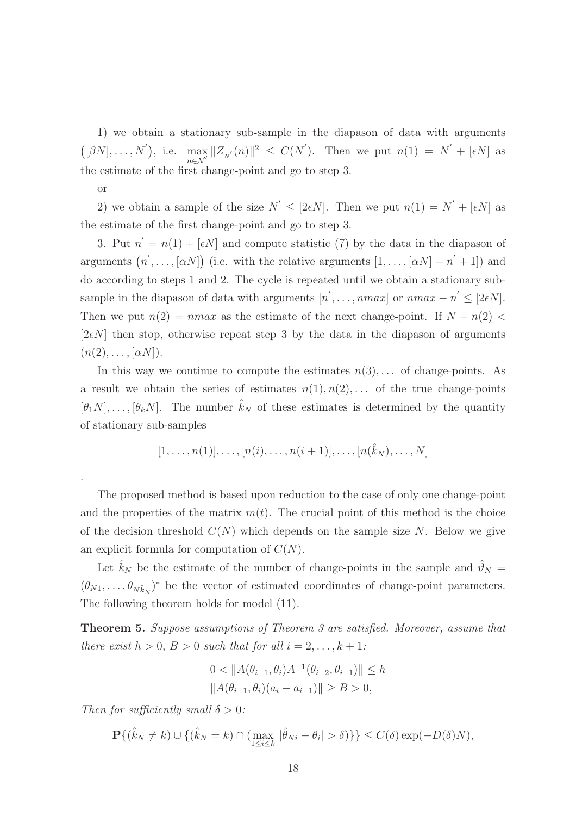1) we obtain a stationary sub-sample in the diapason of data with arguments  $([\beta N], \ldots, N'),$  i.e. max  $\max_{n\in\mathcal{N}}||Z_{N}(n)||^{2} \leq C(N')$ . Then we put  $n(1) = N' + [\epsilon N]$  as the estimate of the first change-point and go to step 3.

or

.

2) we obtain a sample of the size  $N' \leq [2\epsilon N]$ . Then we put  $n(1) = N' + [\epsilon N]$  as the estimate of the first change-point and go to step 3.

3. Put  $n' = n(1) + [\epsilon N]$  and compute statistic (7) by the data in the diapason of arguments  $(n', \ldots, [\alpha N])$  (i.e. with the relative arguments  $[1, \ldots, [\alpha N] - n' + 1]$ ) and do according to steps 1 and 2. The cycle is repeated until we obtain a stationary subsample in the diapason of data with arguments  $[n', \ldots, nmax]$  or  $nmax - n' \leq [2\epsilon N]$ . Then we put  $n(2) = nmax$  as the estimate of the next change-point. If  $N - n(2)$ [ $2\epsilon N$ ] then stop, otherwise repeat step 3 by the data in the diapason of arguments  $(n(2), \ldots, [\alpha N]).$ 

In this way we continue to compute the estimates  $n(3), \ldots$  of change-points. As a result we obtain the series of estimates  $n(1), n(2), \ldots$  of the true change-points  $[\theta_1 N], \ldots, [\theta_k N]$ . The number  $\hat{k}_N$  of these estimates is determined by the quantity of stationary sub-samples

$$
[1, \ldots, n(1)], \ldots, [n(i), \ldots, n(i+1)], \ldots, [n(\hat{k}_N), \ldots, N]
$$

The proposed method is based upon reduction to the case of only one change-point and the properties of the matrix  $m(t)$ . The crucial point of this method is the choice of the decision threshold  $C(N)$  which depends on the sample size N. Below we give an explicit formula for computation of  $C(N)$ .

Let  $\hat{k}_N$  be the estimate of the number of change-points in the sample and  $\hat{\vartheta}_N =$  $(\theta_{N1}, \ldots, \theta_{Nk_N})^*$  be the vector of estimated coordinates of change-point parameters. The following theorem holds for model (11).

Theorem 5. Suppose assumptions of Theorem 3 are satisfied. Moreover, assume that there exist  $h > 0$ ,  $B > 0$  such that for all  $i = 2, \ldots, k + 1$ :

$$
0 < \|A(\theta_{i-1}, \theta_i)A^{-1}(\theta_{i-2}, \theta_{i-1})\| \le h
$$
\n
$$
\|A(\theta_{i-1}, \theta_i)(a_i - a_{i-1})\| \ge B > 0,
$$

Then for sufficiently small  $\delta > 0$ :

$$
\mathbf{P}\{(\hat{k}_N \neq k) \cup \{(\hat{k}_N = k) \cap (\max_{1 \le i \le k} |\hat{\theta}_{Ni} - \theta_i| > \delta)\}\} \le C(\delta) \exp(-D(\delta)N),
$$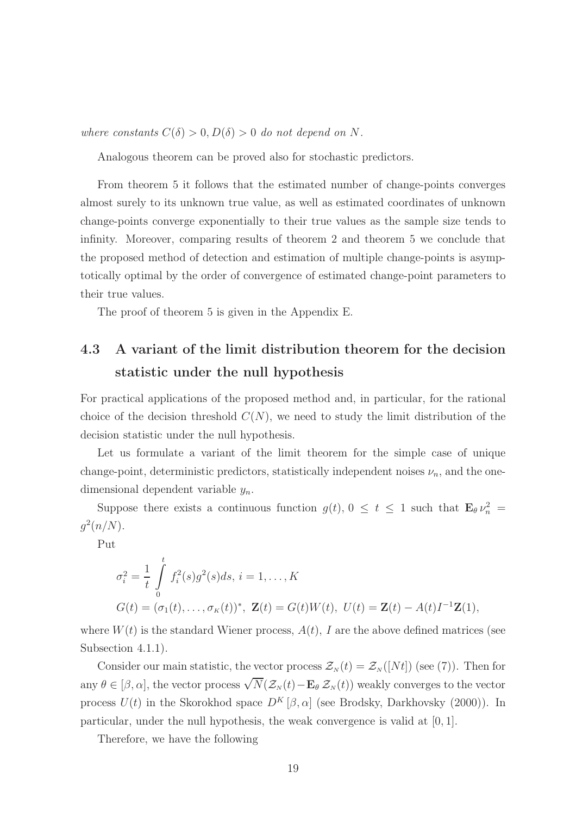where constants  $C(\delta) > 0, D(\delta) > 0$  do not depend on N.

Analogous theorem can be proved also for stochastic predictors.

From theorem 5 it follows that the estimated number of change-points converges almost surely to its unknown true value, as well as estimated coordinates of unknown change-points converge exponentially to their true values as the sample size tends to infinity. Moreover, comparing results of theorem 2 and theorem 5 we conclude that the proposed method of detection and estimation of multiple change-points is asymptotically optimal by the order of convergence of estimated change-point parameters to their true values.

The proof of theorem 5 is given in the Appendix E.

### 4.3 A variant of the limit distribution theorem for the decision statistic under the null hypothesis

For practical applications of the proposed method and, in particular, for the rational choice of the decision threshold  $C(N)$ , we need to study the limit distribution of the decision statistic under the null hypothesis.

Let us formulate a variant of the limit theorem for the simple case of unique change-point, deterministic predictors, statistically independent noises  $\nu_n$ , and the onedimensional dependent variable  $y_n$ .

Suppose there exists a continuous function  $g(t)$ ,  $0 \le t \le 1$  such that  $\mathbf{E}_{\theta} \nu_n^2 =$  $g^2(n/N)$ .

Put

$$
\sigma_i^2 = \frac{1}{t} \int_0^t f_i^2(s) g^2(s) ds, \, i = 1, \dots, K
$$
  

$$
G(t) = (\sigma_1(t), \dots, \sigma_K(t))^*, \, \mathbf{Z}(t) = G(t)W(t), \, U(t) = \mathbf{Z}(t) - A(t)I^{-1}\mathbf{Z}(1),
$$

where  $W(t)$  is the standard Wiener process,  $A(t)$ , I are the above defined matrices (see Subsection 4.1.1).

Consider our main statistic, the vector process  $\mathcal{Z}_N(t) = \mathcal{Z}_N([Nt])$  (see (7)). Then for any  $\theta \in [\beta, \alpha]$ , the vector process  $\sqrt{N}(\mathcal{Z}_N(t)-\mathbf{E}_\theta \mathcal{Z}_N(t))$  weakly converges to the vector process  $U(t)$  in the Skorokhod space  $D^K[\beta,\alpha]$  (see Brodsky, Darkhovsky (2000)). In particular, under the null hypothesis, the weak convergence is valid at [0, 1].

Therefore, we have the following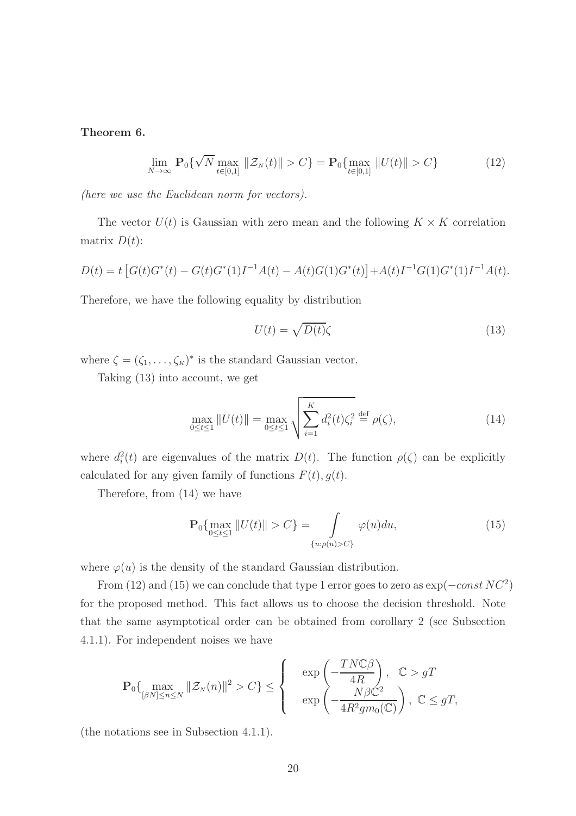Theorem 6.

$$
\lim_{N \to \infty} \mathbf{P}_0\{\sqrt{N} \max_{t \in [0,1]} \|\mathcal{Z}_N(t)\| > C\} = \mathbf{P}_0\{\max_{t \in [0,1]} \|U(t)\| > C\}
$$
(12)

(here we use the Euclidean norm for vectors).

The vector  $U(t)$  is Gaussian with zero mean and the following  $K \times K$  correlation matrix  $D(t)$ :

$$
D(t) = t \left[ G(t)G^{*}(t) - G(t)G^{*}(1)I^{-1}A(t) - A(t)G(1)G^{*}(t) \right] + A(t)I^{-1}G(1)G^{*}(1)I^{-1}A(t).
$$

Therefore, we have the following equality by distribution

$$
U(t) = \sqrt{D(t)}\zeta
$$
\n(13)

where  $\zeta = (\zeta_1, \ldots, \zeta_K)^*$  is the standard Gaussian vector.

Taking (13) into account, we get

$$
\max_{0 \le t \le 1} ||U(t)|| = \max_{0 \le t \le 1} \sqrt{\sum_{i=1}^{K} d_i^2(t) \zeta_i^2} \stackrel{\text{def}}{=} \rho(\zeta), \tag{14}
$$

where  $d_i^2(t)$  are eigenvalues of the matrix  $D(t)$ . The function  $\rho(\zeta)$  can be explicitly calculated for any given family of functions  $F(t)$ ,  $g(t)$ .

Therefore, from (14) we have

$$
\mathbf{P}_{0}\{\max_{0\leq t\leq 1}||U(t)|| > C\} = \int_{\{u:\rho(u)>C\}} \varphi(u)du,
$$
\n(15)

where  $\varphi(u)$  is the density of the standard Gaussian distribution.

From (12) and (15) we can conclude that type 1 error goes to zero as  $\exp(-const\,NC^2)$ for the proposed method. This fact allows us to choose the decision threshold. Note that the same asymptotical order can be obtained from corollary 2 (see Subsection 4.1.1). For independent noises we have

$$
\mathbf{P}_0\{\max_{[\beta N]\leq n\leq N}\|\mathcal{Z}_N(n)\|^2>C\}\leq\left\{\begin{array}{c}\exp\left(-\frac{TN\mathbb{C}\beta}{4R}\right), & \mathbb{C}>gT\\ \exp\left(-\frac{N\beta\mathbb{C}^2}{4R^2g m_0(\mathbb{C})}\right), & \mathbb{C}\leq gT,\end{array}\right.
$$

(the notations see in Subsection 4.1.1).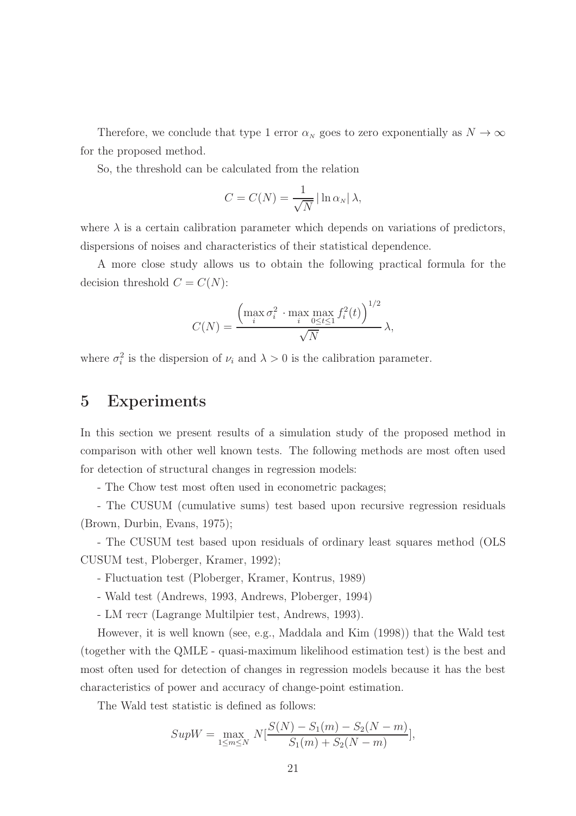Therefore, we conclude that type 1 error  $\alpha_N$  goes to zero exponentially as  $N \to \infty$ for the proposed method.

So, the threshold can be calculated from the relation

$$
C = C(N) = \frac{1}{\sqrt{N}} \left| \ln \alpha_N \right| \lambda,
$$

where  $\lambda$  is a certain calibration parameter which depends on variations of predictors, dispersions of noises and characteristics of their statistical dependence.

A more close study allows us to obtain the following practical formula for the decision threshold  $C = C(N)$ :

$$
C(N) = \frac{\left(\max_{i} \sigma_i^2 \cdot \max_{i} \max_{0 \le t \le 1} f_i^2(t)\right)^{1/2}}{\sqrt{N}} \lambda,
$$

where  $\sigma_i^2$  is the dispersion of  $\nu_i$  and  $\lambda > 0$  is the calibration parameter.

### 5 Experiments

In this section we present results of a simulation study of the proposed method in comparison with other well known tests. The following methods are most often used for detection of structural changes in regression models:

- The Chow test most often used in econometric packages;

- The CUSUM (cumulative sums) test based upon recursive regression residuals (Brown, Durbin, Evans, 1975);

- The CUSUM test based upon residuals of ordinary least squares method (OLS CUSUM test, Ploberger, Kramer, 1992);

- Fluctuation test (Ploberger, Kramer, Kontrus, 1989)
- Wald test (Andrews, 1993, Andrews, Ploberger, 1994)
- LM тест (Lagrange Multilpier test, Andrews, 1993).

However, it is well known (see, e.g., Maddala and Kim (1998)) that the Wald test (together with the QMLE - quasi-maximum likelihood estimation test) is the best and most often used for detection of changes in regression models because it has the best characteristics of power and accuracy of change-point estimation.

The Wald test statistic is defined as follows:

$$
SupW = \max_{1 \le m \le N} N \left[ \frac{S(N) - S_1(m) - S_2(N - m)}{S_1(m) + S_2(N - m)} \right],
$$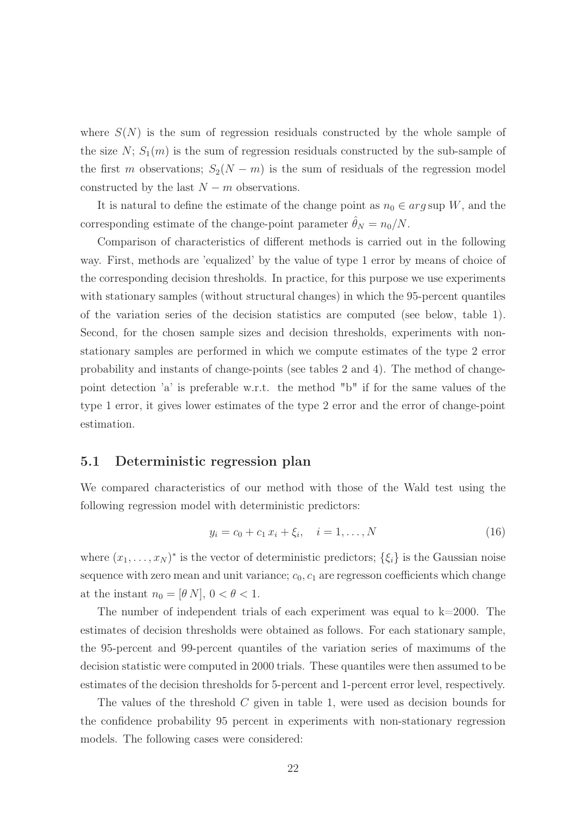where  $S(N)$  is the sum of regression residuals constructed by the whole sample of the size  $N$ ;  $S_1(m)$  is the sum of regression residuals constructed by the sub-sample of the first m observations;  $S_2(N - m)$  is the sum of residuals of the regression model constructed by the last  $N - m$  observations.

It is natural to define the estimate of the change point as  $n_0 \in arg \text{ sup } W$ , and the corresponding estimate of the change-point parameter  $\hat{\theta}_N = n_0/N$ .

Comparison of characteristics of different methods is carried out in the following way. First, methods are 'equalized' by the value of type 1 error by means of choice of the corresponding decision thresholds. In practice, for this purpose we use experiments with stationary samples (without structural changes) in which the 95-percent quantiles of the variation series of the decision statistics are computed (see below, table 1). Second, for the chosen sample sizes and decision thresholds, experiments with nonstationary samples are performed in which we compute estimates of the type 2 error probability and instants of change-points (see tables 2 and 4). The method of changepoint detection 'a' is preferable w.r.t. the method "b" if for the same values of the type 1 error, it gives lower estimates of the type 2 error and the error of change-point estimation.

#### 5.1 Deterministic regression plan

We compared characteristics of our method with those of the Wald test using the following regression model with deterministic predictors:

$$
y_i = c_0 + c_1 x_i + \xi_i, \quad i = 1, ..., N
$$
\n(16)

where  $(x_1, \ldots, x_N)^*$  is the vector of deterministic predictors;  $\{\xi_i\}$  is the Gaussian noise sequence with zero mean and unit variance;  $c_0$ ,  $c_1$  are regresson coefficients which change at the instant  $n_0 = [\theta N], 0 < \theta < 1$ .

The number of independent trials of each experiment was equal to  $k=2000$ . The estimates of decision thresholds were obtained as follows. For each stationary sample, the 95-percent and 99-percent quantiles of the variation series of maximums of the decision statistic were computed in 2000 trials. These quantiles were then assumed to be estimates of the decision thresholds for 5-percent and 1-percent error level, respectively.

The values of the threshold C given in table 1, were used as decision bounds for the confidence probability 95 percent in experiments with non-stationary regression models. The following cases were considered: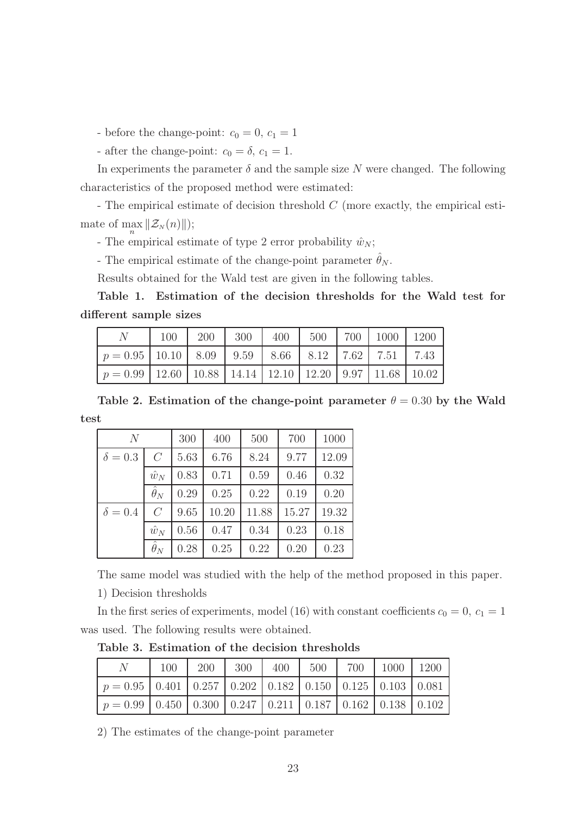- before the change-point:  $c_0 = 0, c_1 = 1$ 

- after the change-point:  $c_0 = \delta$ ,  $c_1 = 1$ .

In experiments the parameter  $\delta$  and the sample size N were changed. The following characteristics of the proposed method were estimated:

- The empirical estimate of decision threshold C (more exactly, the empirical estimate of  $\max_{n} \|\mathcal{Z}_N(n)\|$ ; n

- The empirical estimate of type 2 error probability  $\hat{w}_N$ ;

- The empirical estimate of the change-point parameter  $\hat{\theta}_N$ .

Results obtained for the Wald test are given in the following tables.

Table 1. Estimation of the decision thresholds for the Wald test for different sample sizes

|                                                                           | 100 | 200 |  |  | $300$   400   500   700   1000   1200 |  |
|---------------------------------------------------------------------------|-----|-----|--|--|---------------------------------------|--|
| $p = 0.95$   10.10   8.09   9.59   8.66   8.12   7.62   7.51   7.43       |     |     |  |  |                                       |  |
| $p = 0.99$   12.60   10.88   14.14   12.10   12.20   9.97   11.68   10.02 |     |     |  |  |                                       |  |

Table 2. Estimation of the change-point parameter  $\theta = 0.30$  by the Wald test

| N              |                       | 300                  | 400   | 500   | 700   | 1000  |
|----------------|-----------------------|----------------------|-------|-------|-------|-------|
| $\delta = 0.3$ | $\mathcal{C}$         | 6.76<br>8.24<br>5.63 |       | 9.77  | 12.09 |       |
|                | $\hat{w}_N$           | 0.83                 | 0.71  | 0.59  | 0.46  | 0.32  |
|                | $\hat{\theta}_N$      | 0.29                 | 0.25  | 0.22  | 0.19  | 0.20  |
| $\delta = 0.4$ | $\mathcal{C}$         | 9.65                 | 10.20 | 11.88 | 15.27 | 19.32 |
|                | $\hat{w}_N$           | 0.56                 | 0.47  | 0.34  | 0.23  | 0.18  |
|                | $\overline{\theta}_N$ | 0.28                 | 0.25  | 0.22  | 0.20  | 0.23  |

The same model was studied with the help of the method proposed in this paper.

1) Decision thresholds

In the first series of experiments, model (16) with constant coefficients  $c_0 = 0, c_1 = 1$ was used. The following results were obtained.

N | 100 | 200 | 300 | 400 | 500 | 700 | 1000 | 1200  $p = 0.95 \mid 0.401 \mid 0.257 \mid 0.202 \mid 0.182 \mid 0.150 \mid 0.125 \mid 0.103 \mid 0.081$  $p = 0.99 \mid 0.450 \mid 0.300 \mid 0.247 \mid 0.211 \mid 0.187 \mid 0.162 \mid 0.138 \mid 0.102$ 

Table 3. Estimation of the decision thresholds

2) The estimates of the change-point parameter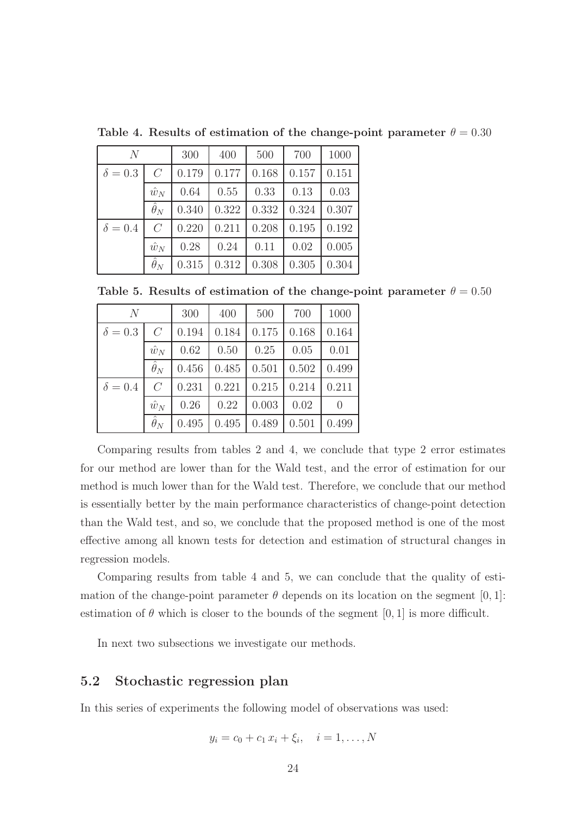| N              |                  | 300            | 400   | 500   | 700   | 1000  |
|----------------|------------------|----------------|-------|-------|-------|-------|
| $\delta = 0.3$ | $\overline{C}$   | 0.177<br>0.179 |       | 0.168 | 0.157 | 0.151 |
|                | $\hat{w}_N$      | 0.64           | 0.55  | 0.33  | 0.13  | 0.03  |
|                | $\hat{\theta}_N$ | 0.340          | 0.322 | 0.332 | 0.324 | 0.307 |
| $\delta = 0.4$ | $\overline{C}$   | 0.220          | 0.211 | 0.208 | 0.195 | 0.192 |
|                | $\hat{w}_N$      | 0.28           | 0.24  | 0.11  | 0.02  | 0.005 |
|                | $\hat{\theta}_N$ | 0.315          | 0.312 | 0.308 | 0.305 | 0.304 |

Table 4. Results of estimation of the change-point parameter  $\theta = 0.30$ 

Table 5. Results of estimation of the change-point parameter  $\theta = 0.50$ 

| N              |                  | 300   | 400   | 500   | 700   | 1000     |
|----------------|------------------|-------|-------|-------|-------|----------|
| $\delta = 0.3$ | $\overline{C}$   | 0.194 | 0.184 | 0.175 | 0.168 | 0.164    |
|                | $\hat{w}_N$      | 0.62  | 0.50  | 0.25  | 0.05  | 0.01     |
|                | $\hat{\theta}_N$ | 0.456 | 0.485 | 0.501 | 0.502 | 0.499    |
| $\delta = 0.4$ | $\overline{C}$   | 0.231 | 0.221 | 0.215 | 0.214 | 0.211    |
|                | $\hat{w}_N$      | 0.26  | 0.22  | 0.003 | 0.02  | $\theta$ |
|                | $\hat{\theta}_N$ | 0.495 | 0.495 | 0.489 | 0.501 | 0.499    |

Comparing results from tables 2 and 4, we conclude that type 2 error estimates for our method are lower than for the Wald test, and the error of estimation for our method is much lower than for the Wald test. Therefore, we conclude that our method is essentially better by the main performance characteristics of change-point detection than the Wald test, and so, we conclude that the proposed method is one of the most effective among all known tests for detection and estimation of structural changes in regression models.

Comparing results from table 4 and 5, we can conclude that the quality of estimation of the change-point parameter  $\theta$  depends on its location on the segment [0, 1]: estimation of  $\theta$  which is closer to the bounds of the segment [0, 1] is more difficult.

In next two subsections we investigate our methods.

### 5.2 Stochastic regression plan

In this series of experiments the following model of observations was used:

$$
y_i = c_0 + c_1 x_i + \xi_i, \quad i = 1, \dots, N
$$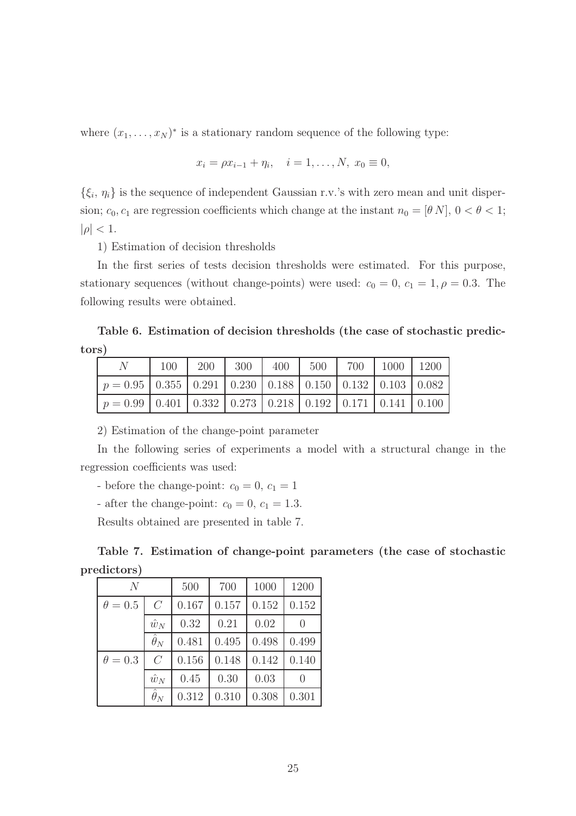where  $(x_1, \ldots, x_N)^*$  is a stationary random sequence of the following type:

$$
x_i = \rho x_{i-1} + \eta_i, \quad i = 1, ..., N, \ x_0 \equiv 0,
$$

 $\{\xi_i, \eta_i\}$  is the sequence of independent Gaussian r.v.'s with zero mean and unit dispersion;  $c_0, c_1$  are regression coefficients which change at the instant  $n_0 = [\theta N]$ ,  $0 < \theta < 1$ ;  $|\rho| < 1$ .

1) Estimation of decision thresholds

In the first series of tests decision thresholds were estimated. For this purpose, stationary sequences (without change-points) were used:  $c_0 = 0$ ,  $c_1 = 1$ ,  $\rho = 0.3$ . The following results were obtained.

Table 6. Estimation of decision thresholds (the case of stochastic predictors)

|                                                                            | 100 |  | 200   300   400   500   700   1000   1200 |  |  |
|----------------------------------------------------------------------------|-----|--|-------------------------------------------|--|--|
| $p = 0.95$   0.355   0.291   0.230   0.188   0.150   0.132   0.103   0.082 |     |  |                                           |  |  |
| $p = 0.99$ 0.401 0.332 0.273 0.218 0.192 0.171 0.141 0.100                 |     |  |                                           |  |  |

2) Estimation of the change-point parameter

In the following series of experiments a model with a structural change in the regression coefficients was used:

- before the change-point:  $c_0 = 0, c_1 = 1$ 

- after the change-point:  $c_0 = 0, c_1 = 1.3$ .

Results obtained are presented in table 7.

Table 7. Estimation of change-point parameters (the case of stochastic predictors)

| $\overline{N}$ |                  | 500   | 700   | 1000  | 1200             |
|----------------|------------------|-------|-------|-------|------------------|
| $\theta = 0.5$ | $\overline{C}$   | 0.167 | 0.157 | 0.152 | 0.152            |
|                | $\hat{w}_N$      | 0.32  | 0.21  | 0.02  | $\theta$         |
|                | $\hat{\theta}_N$ | 0.481 | 0.495 | 0.498 | 0.499            |
| $\theta = 0.3$ | $\overline{C}$   | 0.156 | 0.148 | 0.142 | 0.140            |
|                | $\hat{w}_N$      | 0.45  | 0.30  | 0.03  | $\left( \right)$ |
|                | $\hat{\theta}_N$ | 0.312 | 0.310 | 0.308 | 0.301            |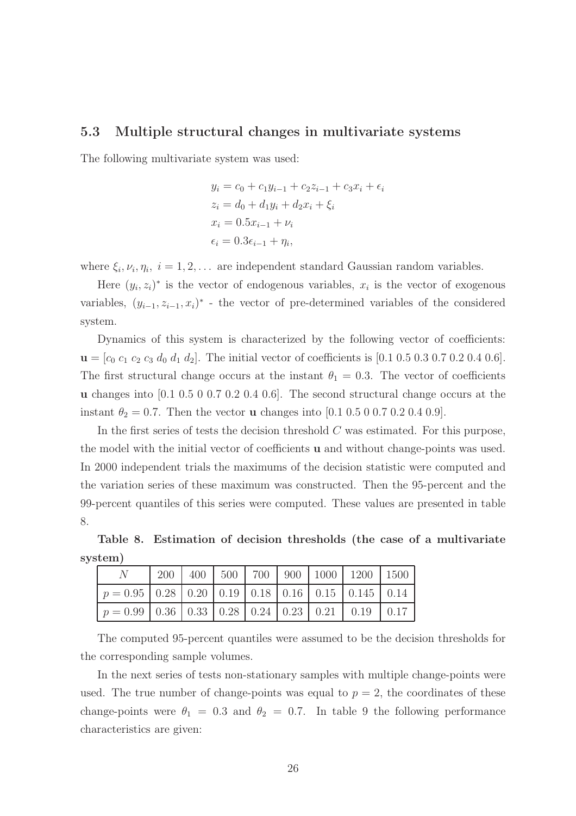#### 5.3 Multiple structural changes in multivariate systems

The following multivariate system was used:

$$
y_i = c_0 + c_1 y_{i-1} + c_2 z_{i-1} + c_3 x_i + \epsilon_i
$$
  
\n
$$
z_i = d_0 + d_1 y_i + d_2 x_i + \xi_i
$$
  
\n
$$
x_i = 0.5 x_{i-1} + \nu_i
$$
  
\n
$$
\epsilon_i = 0.3 \epsilon_{i-1} + \eta_i,
$$

where  $\xi_i, \nu_i, \eta_i, i = 1, 2, \dots$  are independent standard Gaussian random variables.

Here  $(y_i, z_i)^*$  is the vector of endogenous variables,  $x_i$  is the vector of exogenous variables,  $(y_{i-1}, z_{i-1}, x_i)^*$  - the vector of pre-determined variables of the considered system.

Dynamics of this system is characterized by the following vector of coefficients:  $\mathbf{u} = [c_0 \ c_1 \ c_2 \ c_3 \ d_0 \ d_1 \ d_2].$  The initial vector of coefficients is [0.1 0.5 0.3 0.7 0.2 0.4 0.6]. The first structural change occurs at the instant  $\theta_1 = 0.3$ . The vector of coefficients u changes into [0.1 0.5 0 0.7 0.2 0.4 0.6]. The second structural change occurs at the instant  $\theta_2 = 0.7$ . Then the vector **u** changes into [0.1 0.5 0 0.7 0.2 0.4 0.9].

In the first series of tests the decision threshold  $C$  was estimated. For this purpose, the model with the initial vector of coefficients u and without change-points was used. In 2000 independent trials the maximums of the decision statistic were computed and the variation series of these maximum was constructed. Then the 95-percent and the 99-percent quantiles of this series were computed. These values are presented in table 8.

Table 8. Estimation of decision thresholds (the case of a multivariate system)

|                                                     |  |  |  | 200   400   500   700   900   1000   1200   1500 |  |
|-----------------------------------------------------|--|--|--|--------------------------------------------------|--|
| $p = 0.95$ 0.28 0.20 0.19 0.18 0.16 0.15 0.145 0.14 |  |  |  |                                                  |  |
| $p = 0.99$ 0.36 0.33 0.28 0.24 0.23 0.21 0.19 0.17  |  |  |  |                                                  |  |

The computed 95-percent quantiles were assumed to be the decision thresholds for the corresponding sample volumes.

In the next series of tests non-stationary samples with multiple change-points were used. The true number of change-points was equal to  $p = 2$ , the coordinates of these change-points were  $\theta_1 = 0.3$  and  $\theta_2 = 0.7$ . In table 9 the following performance characteristics are given: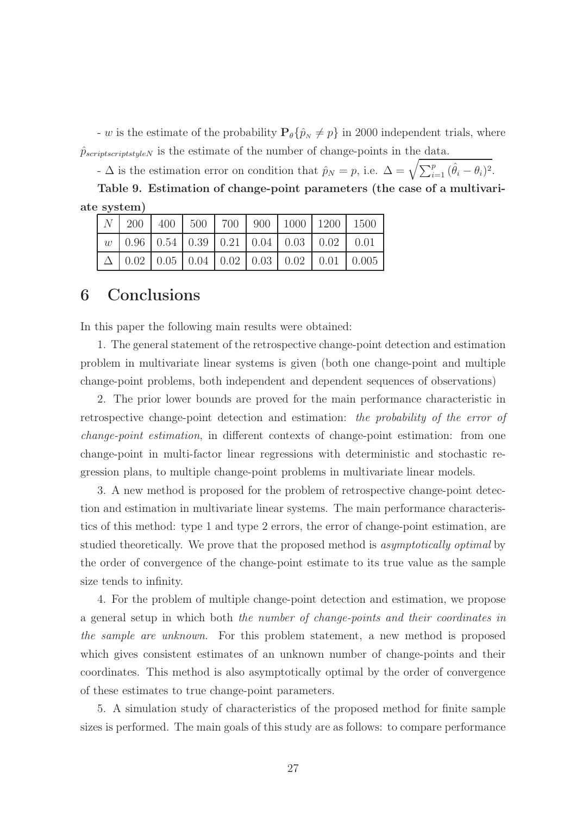- w is the estimate of the probability  $P_{\theta} \{\hat{p}_N \neq p\}$  in 2000 independent trials, where  $\hat{p}_{scriptscriptslyleN}$  is the estimate of the number of change-points in the data.

-  $\Delta$  is the estimation error on condition that  $\hat{p}_N = p$ , i.e.  $\Delta = \sqrt{\sum_{i=1}^p (\hat{\theta}_i - \theta_i)^2}$ .

Table 9. Estimation of change-point parameters (the case of a multivariate system)

|  |  |  | $N$   200   400   500   700   900   1000   1200   1500            |  |
|--|--|--|-------------------------------------------------------------------|--|
|  |  |  | $w$   0.96   0.54   0.39   0.21   0.04   0.03   0.02   0.01       |  |
|  |  |  | $\Delta$   0.02   0.05   0.04   0.02   0.03   0.02   0.01   0.005 |  |

### 6 Conclusions

In this paper the following main results were obtained:

1. The general statement of the retrospective change-point detection and estimation problem in multivariate linear systems is given (both one change-point and multiple change-point problems, both independent and dependent sequences of observations)

2. The prior lower bounds are proved for the main performance characteristic in retrospective change-point detection and estimation: the probability of the error of change-point estimation, in different contexts of change-point estimation: from one change-point in multi-factor linear regressions with deterministic and stochastic regression plans, to multiple change-point problems in multivariate linear models.

3. A new method is proposed for the problem of retrospective change-point detection and estimation in multivariate linear systems. The main performance characteristics of this method: type 1 and type 2 errors, the error of change-point estimation, are studied theoretically. We prove that the proposed method is asymptotically optimal by the order of convergence of the change-point estimate to its true value as the sample size tends to infinity.

4. For the problem of multiple change-point detection and estimation, we propose a general setup in which both the number of change-points and their coordinates in the sample are unknown. For this problem statement, a new method is proposed which gives consistent estimates of an unknown number of change-points and their coordinates. This method is also asymptotically optimal by the order of convergence of these estimates to true change-point parameters.

5. A simulation study of characteristics of the proposed method for finite sample sizes is performed. The main goals of this study are as follows: to compare performance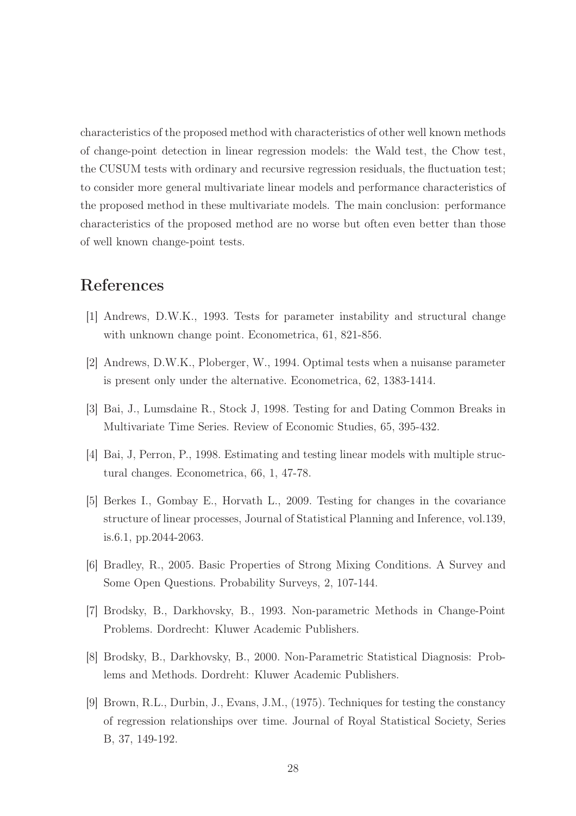characteristics of the proposed method with characteristics of other well known methods of change-point detection in linear regression models: the Wald test, the Chow test, the CUSUM tests with ordinary and recursive regression residuals, the fluctuation test; to consider more general multivariate linear models and performance characteristics of the proposed method in these multivariate models. The main conclusion: performance characteristics of the proposed method are no worse but often even better than those of well known change-point tests.

### References

- [1] Andrews, D.W.K., 1993. Tests for parameter instability and structural change with unknown change point. Econometrica, 61, 821-856.
- [2] Andrews, D.W.K., Ploberger, W., 1994. Optimal tests when a nuisanse parameter is present only under the alternative. Econometrica, 62, 1383-1414.
- [3] Bai, J., Lumsdaine R., Stock J, 1998. Testing for and Dating Common Breaks in Multivariate Time Series. Review of Economic Studies, 65, 395-432.
- [4] Bai, J, Perron, P., 1998. Estimating and testing linear models with multiple structural changes. Econometrica, 66, 1, 47-78.
- [5] Berkes I., Gombay E., Horvath L., 2009. Testing for changes in the covariance structure of linear processes, Journal of Statistical Planning and Inference, vol.139, is.6.1, pp.2044-2063.
- [6] Bradley, R., 2005. Basic Properties of Strong Mixing Conditions. A Survey and Some Open Questions. Probability Surveys, 2, 107-144.
- [7] Brodsky, B., Darkhovsky, B., 1993. Non-parametric Methods in Change-Point Problems. Dordrecht: Kluwer Academic Publishers.
- [8] Brodsky, B., Darkhovsky, B., 2000. Non-Parametric Statistical Diagnosis: Problems and Methods. Dordreht: Kluwer Academic Publishers.
- [9] Brown, R.L., Durbin, J., Evans, J.M., (1975). Techniques for testing the constancy of regression relationships over time. Journal of Royal Statistical Society, Series B, 37, 149-192.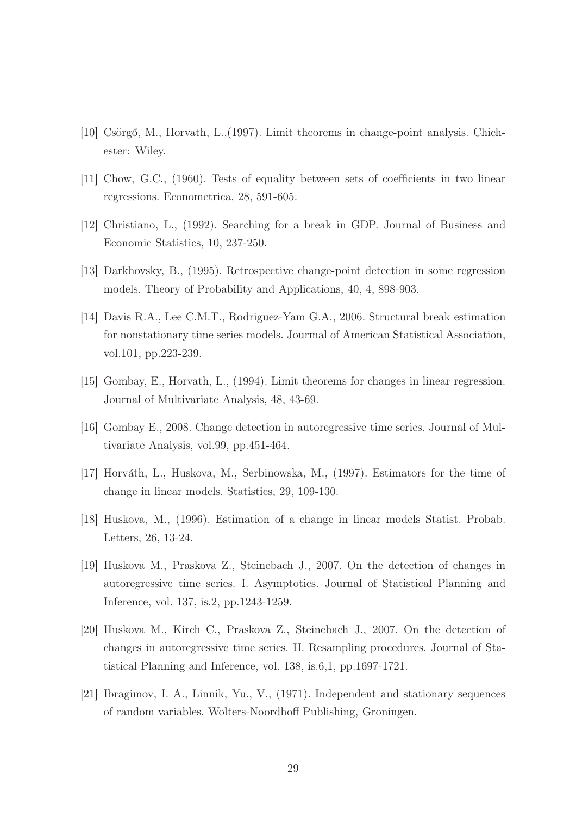- [10] Csörgő, M., Horvath, L.,(1997). Limit theorems in change-point analysis. Chichester: Wiley.
- [11] Chow, G.C., (1960). Tests of equality between sets of coefficients in two linear regressions. Econometrica, 28, 591-605.
- [12] Christiano, L., (1992). Searching for a break in GDP. Journal of Business and Economic Statistics, 10, 237-250.
- [13] Darkhovsky, B., (1995). Retrospective change-point detection in some regression models. Theory of Probability and Applications, 40, 4, 898-903.
- [14] Davis R.A., Lee C.M.T., Rodriguez-Yam G.A., 2006. Structural break estimation for nonstationary time series models. Jourmal of American Statistical Association, vol.101, pp.223-239.
- [15] Gombay, E., Horvath, L., (1994). Limit theorems for changes in linear regression. Journal of Multivariate Analysis, 48, 43-69.
- [16] Gombay E., 2008. Change detection in autoregressive time series. Journal of Multivariate Analysis, vol.99, pp.451-464.
- [17] Horváth, L., Huskova, M., Serbinowska, M., (1997). Estimators for the time of change in linear models. Statistics, 29, 109-130.
- [18] Huskova, M., (1996). Estimation of a change in linear models Statist. Probab. Letters, 26, 13-24.
- [19] Huskova M., Praskova Z., Steinebach J., 2007. On the detection of changes in autoregressive time series. I. Asymptotics. Journal of Statistical Planning and Inference, vol. 137, is.2, pp.1243-1259.
- [20] Huskova M., Kirch C., Praskova Z., Steinebach J., 2007. On the detection of changes in autoregressive time series. II. Resampling procedures. Journal of Statistical Planning and Inference, vol. 138, is.6,1, pp.1697-1721.
- [21] Ibragimov, I. A., Linnik, Yu., V., (1971). Independent and stationary sequences of random variables. Wolters-Noordhoff Publishing, Groningen.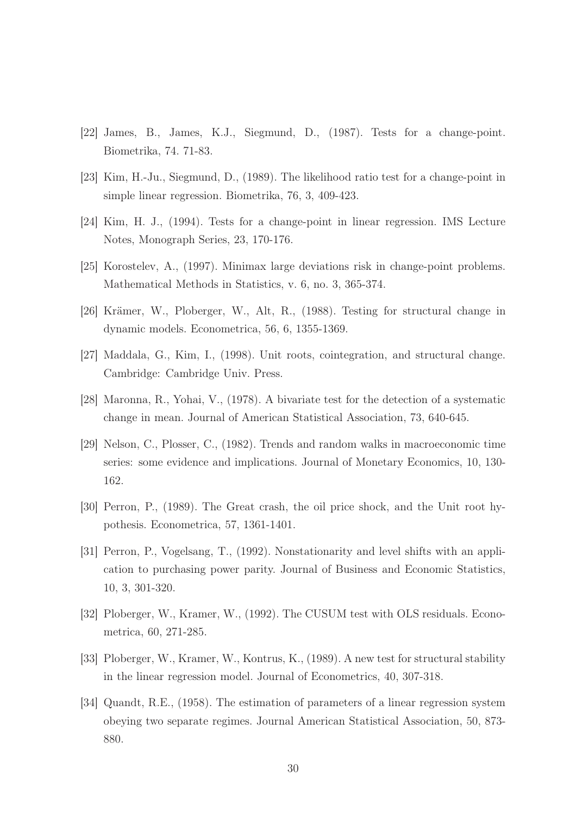- [22] James, B., James, K.J., Siegmund, D., (1987). Tests for a change-point. Biometrika, 74. 71-83.
- [23] Kim, H.-Ju., Siegmund, D., (1989). The likelihood ratio test for a change-point in simple linear regression. Biometrika, 76, 3, 409-423.
- [24] Kim, H. J., (1994). Tests for a change-point in linear regression. IMS Lecture Notes, Monograph Series, 23, 170-176.
- [25] Korostelev, A., (1997). Minimax large deviations risk in change-point problems. Mathematical Methods in Statistics, v. 6, no. 3, 365-374.
- [26] Krämer, W., Ploberger, W., Alt, R., (1988). Testing for structural change in dynamic models. Econometrica, 56, 6, 1355-1369.
- [27] Maddala, G., Kim, I., (1998). Unit roots, cointegration, and structural change. Cambridge: Cambridge Univ. Press.
- [28] Maronna, R., Yohai, V., (1978). A bivariate test for the detection of a systematic change in mean. Journal of American Statistical Association, 73, 640-645.
- [29] Nelson, C., Plosser, C., (1982). Trends and random walks in macroeconomic time series: some evidence and implications. Journal of Monetary Economics, 10, 130- 162.
- [30] Perron, P., (1989). The Great crash, the oil price shock, and the Unit root hypothesis. Econometrica, 57, 1361-1401.
- [31] Perron, P., Vogelsang, T., (1992). Nonstationarity and level shifts with an application to purchasing power parity. Journal of Business and Economic Statistics, 10, 3, 301-320.
- [32] Ploberger, W., Kramer, W., (1992). The CUSUM test with OLS residuals. Econometrica, 60, 271-285.
- [33] Ploberger, W., Kramer, W., Kontrus, K., (1989). A new test for structural stability in the linear regression model. Journal of Econometrics, 40, 307-318.
- [34] Quandt, R.E., (1958). The estimation of parameters of a linear regression system obeying two separate regimes. Journal American Statistical Association, 50, 873- 880.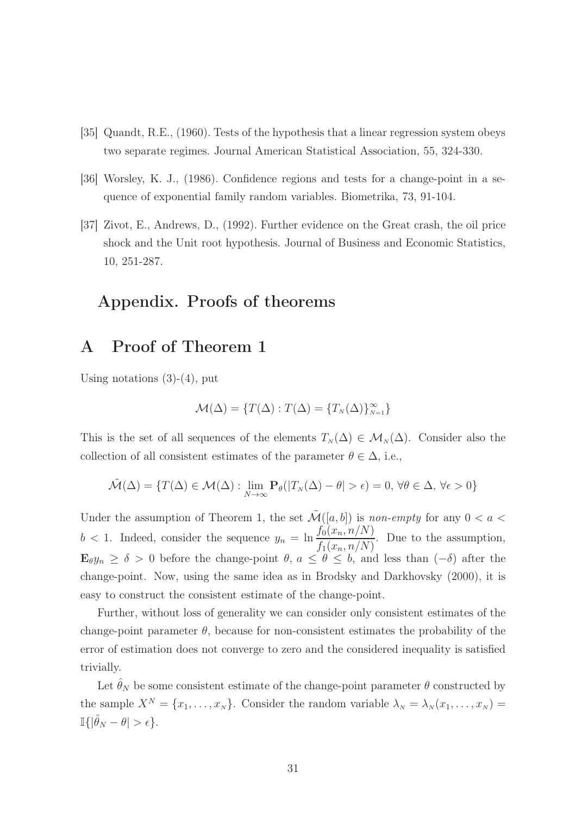- [35] Quandt, R.E., (1960). Tests of the hypothesis that a linear regression system obeys two separate regimes. Journal American Statistical Association, 55, 324-330.
- [36] Worsley, K. J., (1986). Confidence regions and tests for a change-point in a sequence of exponential family random variables. Biometrika, 73, 91-104.
- [37] Zivot, E., Andrews, D., (1992). Further evidence on the Great crash, the oil price shock and the Unit root hypothesis. Journal of Business and Economic Statistics, 10, 251-287.

### Appendix. Proofs of theorems

### A Proof of Theorem 1

Using notations  $(3)-(4)$ , put

$$
\mathcal{M}(\Delta) = \{ T(\Delta) : T(\Delta) = \{ T_N(\Delta) \}_{N=1}^{\infty} \}
$$

This is the set of all sequences of the elements  $T_N(\Delta) \in \mathcal{M}_N(\Delta)$ . Consider also the collection of all consistent estimates of the parameter  $\theta \in \Delta$ , i.e.,

$$
\tilde{\mathcal{M}}(\Delta) = \{ T(\Delta) \in \mathcal{M}(\Delta) : \lim_{N \to \infty} \mathbf{P}_{\theta}(|T_{N}(\Delta) - \theta| > \epsilon) = 0, \forall \theta \in \Delta, \forall \epsilon > 0 \}
$$

Under the assumption of Theorem 1, the set  $\mathcal{\tilde{M}}([a, b])$  is non-empty for any  $0 < a <$  $b < 1$ . Indeed, consider the sequence  $y_n = \ln \frac{f_0(x_n, n/N)}{f_0(x_n, n/N)}$  $f_1(x_n, n/N)$ . Due to the assumption,  $\mathbf{E}_{\theta}y_n \geq \delta > 0$  before the change-point  $\theta, a \leq \theta \leq b$ , and less than  $(-\delta)$  after the change-point. Now, using the same idea as in Brodsky and Darkhovsky (2000), it is easy to construct the consistent estimate of the change-point.

Further, without loss of generality we can consider only consistent estimates of the change-point parameter  $\theta$ , because for non-consistent estimates the probability of the error of estimation does not converge to zero and the considered inequality is satisfied trivially.

Let  $\hat{\theta}_N$  be some consistent estimate of the change-point parameter  $\theta$  constructed by the sample  $X^N = \{x_1, \ldots, x_N\}$ . Consider the random variable  $\lambda_N = \lambda_N(x_1, \ldots, x_N)$  $\mathbb{I}\{|\hat{\theta}_N - \theta| > \epsilon\}.$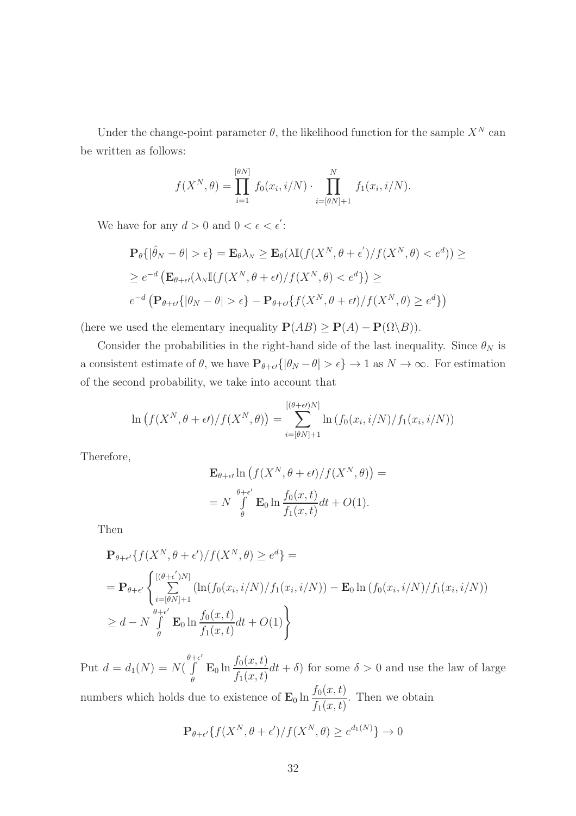Under the change-point parameter  $\theta$ , the likelihood function for the sample  $X^N$  can be written as follows:

$$
f(X^{N}, \theta) = \prod_{i=1}^{[\theta N]} f_0(x_i, i/N) \cdot \prod_{i=[\theta N]+1}^{N} f_1(x_i, i/N).
$$

We have for any  $d > 0$  and  $0 < \epsilon < \epsilon'$ :

$$
\mathbf{P}_{\theta}\{|\hat{\theta}_{N} - \theta| > \epsilon\} = \mathbf{E}_{\theta}\lambda_{N} \ge \mathbf{E}_{\theta}(\lambda \mathbb{I}(f(X^{N}, \theta + \epsilon') / f(X^{N}, \theta) < e^{d})) \ge
$$
  

$$
\ge e^{-d} \left(\mathbf{E}_{\theta + \epsilon'}(\lambda_{N}\mathbb{I}(f(X^{N}, \theta + \epsilon f) / f(X^{N}, \theta) < e^{d})\right) \ge
$$
  

$$
e^{-d} \left(\mathbf{P}_{\theta + \epsilon'}\{|\theta_{N} - \theta| > \epsilon\} - \mathbf{P}_{\theta + \epsilon'}\{f(X^{N}, \theta + \epsilon f) / f(X^{N}, \theta) \ge e^{d}\}\right)
$$

(here we used the elementary inequality  $P(AB) \ge P(A) - P(\Omega \setminus B)$ ).

Consider the probabilities in the right-hand side of the last inequality. Since  $\theta_N$  is a consistent estimate of  $\theta$ , we have  $P_{\theta+\epsilon'}\{|\theta_N-\theta|>\epsilon\} \to 1$  as  $N \to \infty$ . For estimation of the second probability, we take into account that

$$
\ln\left(f(X^N,\theta+\epsilon t)/f(X^N,\theta)\right)=\sum_{i=[\theta N]+1}^{[(\theta+\epsilon)N]} \ln\left(f_0(x_i,i/N)/f_1(x_i,i/N)\right)
$$

Therefore,

$$
\mathbf{E}_{\theta+\epsilon'} \ln \left( f(X^N, \theta + \epsilon') / f(X^N, \theta) \right) =
$$
  
=  $N \int_{\theta}^{\theta+\epsilon'} \mathbf{E}_0 \ln \frac{f_0(x, t)}{f_1(x, t)} dt + O(1).$ 

Then

$$
\mathbf{P}_{\theta + \epsilon'} \{ f(X^N, \theta + \epsilon') / f(X^N, \theta) \ge e^d \} =
$$
\n
$$
= \mathbf{P}_{\theta + \epsilon'} \left\{ \sum_{i = [\theta N] + 1}^{[(\theta + \epsilon')N]} (\ln(f_0(x_i, i/N) / f_1(x_i, i/N)) - \mathbf{E}_0 \ln(f_0(x_i, i/N) / f_1(x_i, i/N))
$$
\n
$$
\ge d - N \int_{\theta}^{\theta + \epsilon'} \mathbf{E}_0 \ln \frac{f_0(x, t)}{f_1(x, t)} dt + O(1) \right\}
$$

Put  $d = d_1(N) = N($  $\theta + \epsilon'$ R θ  $\mathbf{E}_0 \ln \frac{f_0(x,t)}{f_0(x,t)}$  $f_1(x,t)$  $dt + \delta$ ) for some  $\delta > 0$  and use the law of large

numbers which holds due to existence of  $\mathbf{E}_0 \ln \frac{f_0(x, t)}{f_0(x, t)}$  $f_1(x,t)$ . Then we obtain

$$
\mathbf{P}_{\theta+\epsilon'}\{f(X^N,\theta+\epsilon')/f(X^N,\theta)\geq e^{d_1(N)}\}\to 0
$$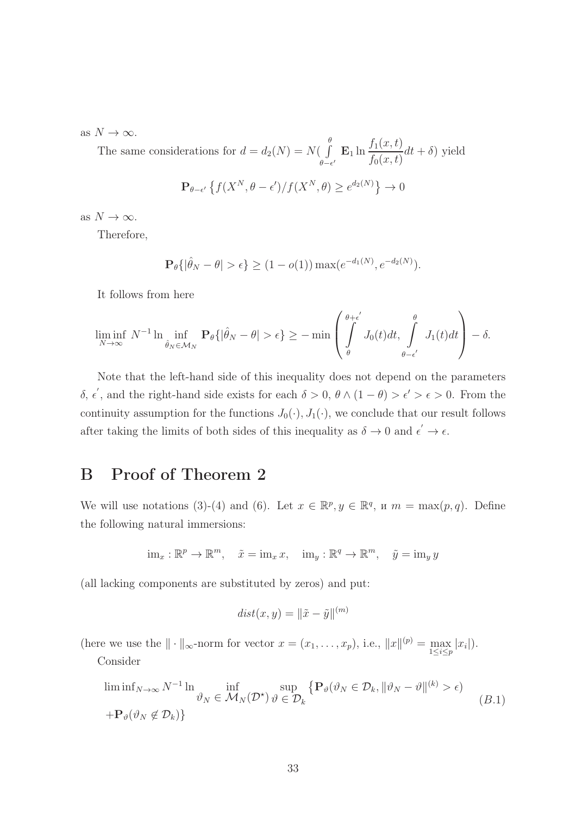as  $N \to \infty$ .

The same considerations for  $d = d_2(N) = N(\int$ θ  $\int_{\theta-\epsilon'}^{\theta} \mathbf{E}_1 \ln \frac{f_1(x,t)}{f_0(x,t)}$  $f_0(x,t)$  $dt + \delta$ ) yield

$$
\mathbf{P}_{\theta-\epsilon'}\left\{f(X^N,\theta-\epsilon')/f(X^N,\theta)\geq e^{d_2(N)}\right\}\to 0
$$

as  $N \to \infty$ .

Therefore,

$$
\mathbf{P}_{\theta}\{|\hat{\theta}_N - \theta| > \epsilon\} \ge (1 - o(1)) \max(e^{-d_1(N)}, e^{-d_2(N)}).
$$

It follows from here

$$
\liminf_{N \to \infty} N^{-1} \ln \inf_{\hat{\theta}_N \in \mathcal{M}_N} \mathbf{P}_{\theta} \{ |\hat{\theta}_N - \theta| > \epsilon \} \ge - \min \left( \int_{\theta}^{\theta + \epsilon'} J_0(t) dt, \int_{\theta - \epsilon'}^{\theta} J_1(t) dt \right) - \delta.
$$

Note that the left-hand side of this inequality does not depend on the parameters δ,  $\epsilon'$ , and the right-hand side exists for each  $\delta > 0$ ,  $\theta \wedge (1 - \theta) > \epsilon' > \epsilon > 0$ . From the continuity assumption for the functions  $J_0(\cdot), J_1(\cdot)$ , we conclude that our result follows after taking the limits of both sides of this inequality as  $\delta \to 0$  and  $\epsilon' \to \epsilon$ .

## B Proof of Theorem 2

We will use notations (3)-(4) and (6). Let  $x \in \mathbb{R}^p, y \in \mathbb{R}^q$ ,  $u \in m = \max(p, q)$ . Define the following natural immersions:

$$
\mathrm{im}_x: \mathbb{R}^p \to \mathbb{R}^m, \quad \tilde{x} = \mathrm{im}_x x, \quad \mathrm{im}_y: \mathbb{R}^q \to \mathbb{R}^m, \quad \tilde{y} = \mathrm{im}_y y
$$

(all lacking components are substituted by zeros) and put:

$$
dist(x, y) = \|\tilde{x} - \tilde{y}\|^{(m)}
$$

(here we use the  $\|\cdot\|_{\infty}$ -norm for vector  $x = (x_1, \ldots, x_p)$ , i.e.,  $\|x\|^{(p)} = \max_{1 \le i \le p} |x_i|$ ).

Consider

$$
\liminf_{N \to \infty} N^{-1} \ln \inf_{\vartheta_N \in \mathcal{M}_N(\mathcal{D}^*)} \sup_{\vartheta \in \mathcal{D}_k} \left\{ \mathbf{P}_{\vartheta}(\vartheta_N \in \mathcal{D}_k, \|\vartheta_N - \vartheta\|^{(k)} > \epsilon) \right\}
$$
\n
$$
+ \mathbf{P}_{\vartheta}(\vartheta_N \notin \mathcal{D}_k) \}
$$
\n(B.1)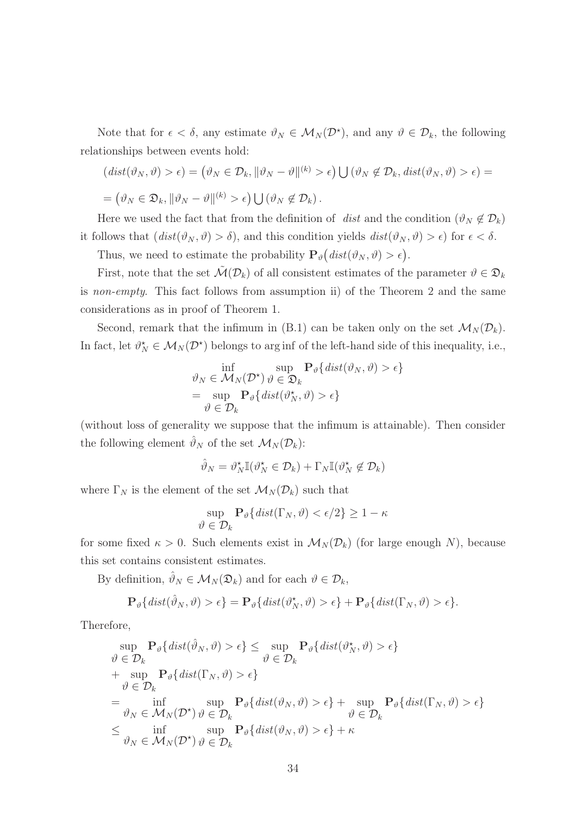Note that for  $\epsilon < \delta$ , any estimate  $\vartheta_N \in \mathcal{M}_N(\mathcal{D}^*)$ , and any  $\vartheta \in \mathcal{D}_k$ , the following relationships between events hold:

$$
\begin{aligned} \left(\operatorname{dist}(\vartheta_N,\vartheta) > \epsilon\right) &= \left(\vartheta_N \in \mathcal{D}_k, \|\vartheta_N - \vartheta\|^{(k)} > \epsilon\right) \bigcup \left(\vartheta_N \notin \mathcal{D}_k, \operatorname{dist}(\vartheta_N,\vartheta) > \epsilon\right) = \\ &= \left(\vartheta_N \in \mathfrak{D}_k, \|\vartheta_N - \vartheta\|^{(k)} > \epsilon\right) \bigcup \left(\vartheta_N \notin \mathcal{D}_k\right). \end{aligned}
$$

Here we used the fact that from the definition of dist and the condition  $(\vartheta_N \notin \mathcal{D}_k)$ it follows that  $(dist(\vartheta_N, \vartheta) > \delta)$ , and this condition yields  $dist(\vartheta_N, \vartheta) > \epsilon$  for  $\epsilon < \delta$ .

Thus, we need to estimate the probability  $\mathbf{P}_{\theta}(dist(\vartheta_N, \vartheta) > \epsilon).$ 

First, note that the set  $\mathcal{M}(\mathcal{D}_k)$  of all consistent estimates of the parameter  $\vartheta \in \mathcal{D}_k$ is non-empty. This fact follows from assumption ii) of the Theorem 2 and the same considerations as in proof of Theorem 1.

Second, remark that the infimum in (B.1) can be taken only on the set  $\mathcal{M}_N(\mathcal{D}_k)$ . In fact, let  $\theta_N^* \in \mathcal{M}_N(\mathcal{D}^*)$  belongs to arg inf of the left-hand side of this inequality, i.e.,

$$
\vartheta_N \in \mathcal{M}_N(\mathcal{D}^*) \vartheta \in \mathfrak{D}_k \qquad \mathbf{P}_{\vartheta} \{ \operatorname{dist}(\vartheta_N, \vartheta) > \epsilon \} \n= \sup_{\vartheta \in \mathcal{D}_k} \mathbf{P}_{\vartheta} \{ \operatorname{dist}(\vartheta_N^*, \vartheta) > \epsilon \}
$$

(without loss of generality we suppose that the infimum is attainable). Then consider the following element  $\hat{\vartheta}_N$  of the set  $\mathcal{M}_N(\mathcal{D}_k)$ :

$$
\hat{\vartheta}_N = \vartheta_N^{\star} \mathbb{I}(\vartheta_N^{\star} \in \mathcal{D}_k) + \Gamma_N \mathbb{I}(\vartheta_N^{\star} \notin \mathcal{D}_k)
$$

where  $\Gamma_N$  is the element of the set  $\mathcal{M}_N(\mathcal{D}_k)$  such that

$$
\sup_{\theta \in \mathcal{D}_k} \mathbf{P}_{\theta} \{ \text{dist}(\Gamma_N, \theta) < \epsilon/2 \} \ge 1 - \kappa
$$

for some fixed  $\kappa > 0$ . Such elements exist in  $\mathcal{M}_N(\mathcal{D}_k)$  (for large enough N), because this set contains consistent estimates.

By definition,  $\hat{\vartheta}_N \in \mathcal{M}_N(\mathfrak{D}_k)$  and for each  $\vartheta \in \mathcal{D}_k$ ,

$$
\mathbf{P}_{\vartheta}\left\{dist(\hat{\vartheta}_N,\vartheta) > \epsilon\right\} = \mathbf{P}_{\vartheta}\left\{dist(\vartheta_N^*,\vartheta) > \epsilon\right\} + \mathbf{P}_{\vartheta}\left\{dist(\Gamma_N,\vartheta) > \epsilon\right\}.
$$

Therefore,

$$
\sup_{\vartheta \in \mathcal{D}_k} \mathbf{P}_{\vartheta} \{ dist(\hat{\vartheta}_N, \vartheta) > \epsilon \} \leq \sup_{\vartheta \in \mathcal{D}_k} \mathbf{P}_{\vartheta} \{ dist(\vartheta_N^*, \vartheta) > \epsilon \} \n+ \sup_{\vartheta \in \mathcal{D}_k} \mathbf{P}_{\vartheta} \{ dist(\Gamma_N, \vartheta) > \epsilon \} \n+ \sup_{\vartheta \in \mathcal{D}_k} \mathbf{P}_{\vartheta} \{ dist(\Gamma_N, \vartheta) > \epsilon \} \n= \inf_{\vartheta_N \in \mathcal{M}_N(\mathcal{D}^*)} \sup_{\vartheta \in \mathcal{D}_k} \mathbf{P}_{\vartheta} \{ dist(\vartheta_N, \vartheta) > \epsilon \} + \sup_{\vartheta \in \mathcal{D}_k} \mathbf{P}_{\vartheta} \{ dist(\Gamma_N, \vartheta) > \epsilon \} \n\leq \inf_{\vartheta_N \in \mathcal{M}_N(\mathcal{D}^*)} \sup_{\vartheta \in \mathcal{D}_k} \mathbf{P}_{\vartheta} \{ dist(\vartheta_N, \vartheta) > \epsilon \} + \kappa
$$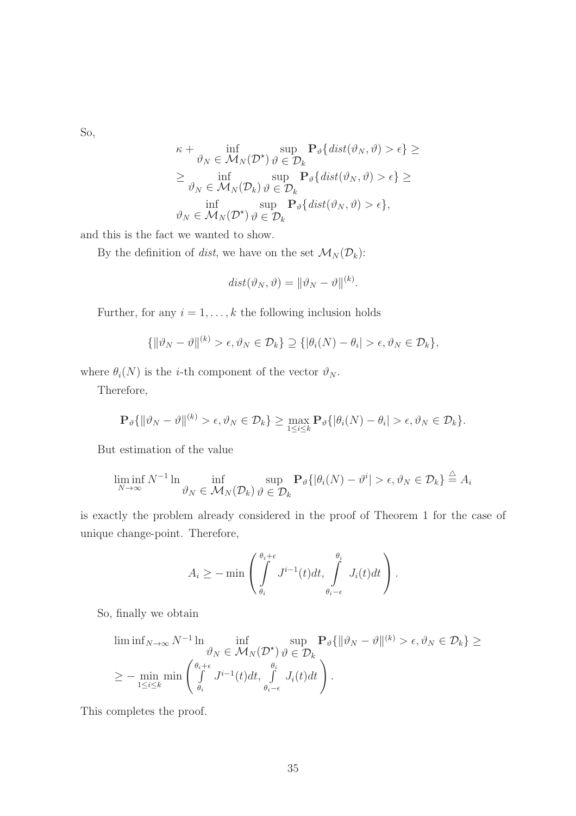So,

$$
\kappa + \inf_{\vartheta_N \in \mathcal{M}_N(\mathcal{D}^\star)} \sup_{\vartheta \in \mathcal{D}_k} \mathbf{P}_{\vartheta} \{ \text{dist}(\vartheta_N, \vartheta) > \epsilon \} \ge
$$
  
\n
$$
\geq \inf_{\vartheta_N \in \mathcal{M}_N(\mathcal{D}_k)} \sup_{\vartheta \in \mathcal{D}_k} \mathbf{P}_{\vartheta} \{ \text{dist}(\vartheta_N, \vartheta) > \epsilon \} \ge
$$
  
\n
$$
\inf_{\vartheta_N \in \mathcal{M}_N(\mathcal{D}^\star)} \sup_{\vartheta \in \mathcal{D}_k} \mathbf{P}_{\vartheta} \{ \text{dist}(\vartheta_N, \vartheta) > \epsilon \},
$$

and this is the fact we wanted to show.

By the definition of dist, we have on the set  $\mathcal{M}_N(\mathcal{D}_k)$ :

$$
dist(\vartheta_N, \vartheta) = \|\vartheta_N - \vartheta\|^{(k)}.
$$

Further, for any  $i = 1, \ldots, k$  the following inclusion holds

$$
\{\|\vartheta_N-\vartheta\|^{(k)}>\epsilon, \vartheta_N\in\mathcal{D}_k\}\supseteq \{\|\theta_i(N)-\theta_i|>\epsilon, \vartheta_N\in\mathcal{D}_k\},\
$$

where  $\theta_i(N)$  is the *i*-th component of the vector  $\vartheta_N$ .

Therefore,

$$
\mathbf{P}_{\vartheta}\{\|\vartheta_N-\vartheta\|^{(k)} > \epsilon, \vartheta_N \in \mathcal{D}_k\} \geq \max_{1 \leq i \leq k} \mathbf{P}_{\vartheta}\{\|\theta_i(N)-\theta_i\| > \epsilon, \vartheta_N \in \mathcal{D}_k\}.
$$

But estimation of the value

$$
\liminf_{N \to \infty} N^{-1} \ln \inf_{\vartheta_N \in \mathcal{M}_N(\mathcal{D}_k)} \sup_{\vartheta \in \mathcal{D}_k} \mathbf{P}_{\vartheta} \{ |\theta_i(N) - \vartheta^i| > \epsilon, \vartheta_N \in \mathcal{D}_k \} \stackrel{\triangle}{=} A_i
$$

is exactly the problem already considered in the proof of Theorem 1 for the case of unique change-point. Therefore,

$$
A_i \geq -\min\left(\int\limits_{\theta_i}^{\theta_i+\epsilon} J^{i-1}(t)dt, \int\limits_{\theta_i-\epsilon}^{\theta_i} J_i(t)dt\right).
$$

So, finally we obtain

$$
\liminf_{N \to \infty} N^{-1} \ln \inf_{\vartheta_N \in \mathcal{M}_N(\mathcal{D}^*)} \sup_{\vartheta \in \mathcal{D}_k} \mathbf{P}_{\vartheta} \{ \|\vartheta_N - \vartheta\|^{(k)} > \epsilon, \vartheta_N \in \mathcal{D}_k \} \ge
$$
\n
$$
\ge - \min_{1 \le i \le k} \min \left( \int_{\theta_i}^{\theta_i + \epsilon} J^{i-1}(t) dt, \int_{\theta_i - \epsilon}^{\theta_i} J_i(t) dt \right).
$$

This completes the proof.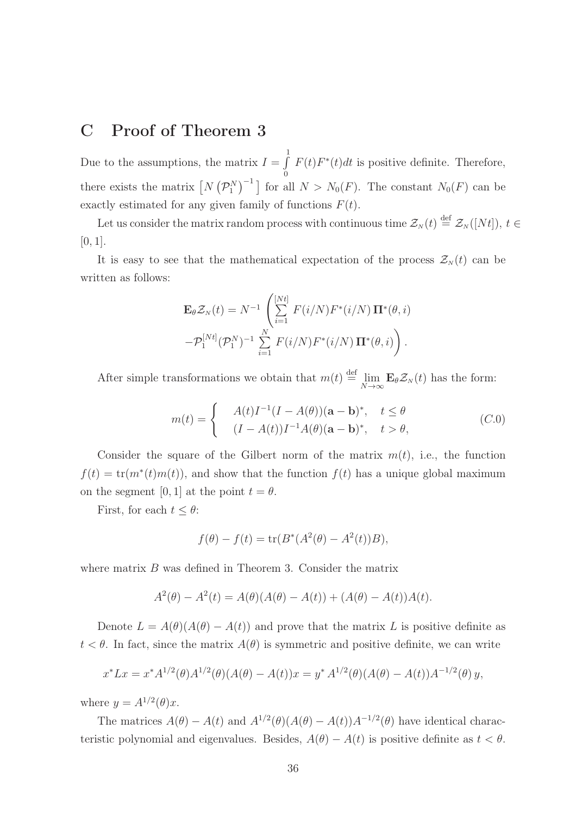### C Proof of Theorem 3

Due to the assumptions, the matrix  $I = \int$ 1 0  $F(t)F^*(t)dt$  is positive definite. Therefore, there exists the matrix  $[N(\mathcal{P}_1^N)^{-1}]$  for all  $N>N_0(F)$ . The constant  $N_0(F)$  can be exactly estimated for any given family of functions  $F(t)$ .

Let us consider the matrix random process with continuous time  $\mathcal{Z}_N(t) \stackrel{\text{def}}{=} \mathcal{Z}_N([Nt])$ ,  $t \in$  $[0, 1]$ .

It is easy to see that the mathematical expectation of the process  $\mathcal{Z}_N(t)$  can be written as follows:

$$
\mathbf{E}_{\theta} \mathcal{Z}_N(t) = N^{-1} \left( \sum_{i=1}^{[Nt]} F(i/N) F^*(i/N) \mathbf{\Pi}^*(\theta, i) - \mathcal{P}_1^{[Nt]} (\mathcal{P}_1^N)^{-1} \sum_{i=1}^N F(i/N) F^*(i/N) \mathbf{\Pi}^*(\theta, i) \right).
$$

After simple transformations we obtain that  $m(t) \stackrel{\text{def}}{=} \lim_{N \to \infty} \mathbf{E}_{\theta} \mathcal{Z}_N(t)$  has the form:

$$
m(t) = \begin{cases} A(t)I^{-1}(I - A(\theta))(\mathbf{a} - \mathbf{b})^*, & t \le \theta \\ (I - A(t))I^{-1}A(\theta)(\mathbf{a} - \mathbf{b})^*, & t > \theta, \end{cases}
$$
(C.0)

Consider the square of the Gilbert norm of the matrix  $m(t)$ , i.e., the function  $f(t) = \text{tr}(m^*(t)m(t))$ , and show that the function  $f(t)$  has a unique global maximum on the segment [0, 1] at the point  $t = \theta$ .

First, for each  $t \leq \theta$ :

$$
f(\theta) - f(t) = \text{tr}(B^*(A^2(\theta) - A^2(t))B),
$$

where matrix  $B$  was defined in Theorem 3. Consider the matrix

$$
A^{2}(\theta) - A^{2}(t) = A(\theta)(A(\theta) - A(t)) + (A(\theta) - A(t))A(t).
$$

Denote  $L = A(\theta)(A(\theta) - A(t))$  and prove that the matrix L is positive definite as  $t < \theta$ . In fact, since the matrix  $A(\theta)$  is symmetric and positive definite, we can write

$$
x^* L x = x^* A^{1/2}(\theta) A^{1/2}(\theta) (A(\theta) - A(t)) x = y^* A^{1/2}(\theta) (A(\theta) - A(t)) A^{-1/2}(\theta) y,
$$

where  $y = A^{1/2}(\theta)x$ .

The matrices  $A(\theta) - A(t)$  and  $A^{1/2}(\theta)(A(\theta) - A(t))A^{-1/2}(\theta)$  have identical characteristic polynomial and eigenvalues. Besides,  $A(\theta) - A(t)$  is positive definite as  $t < \theta$ .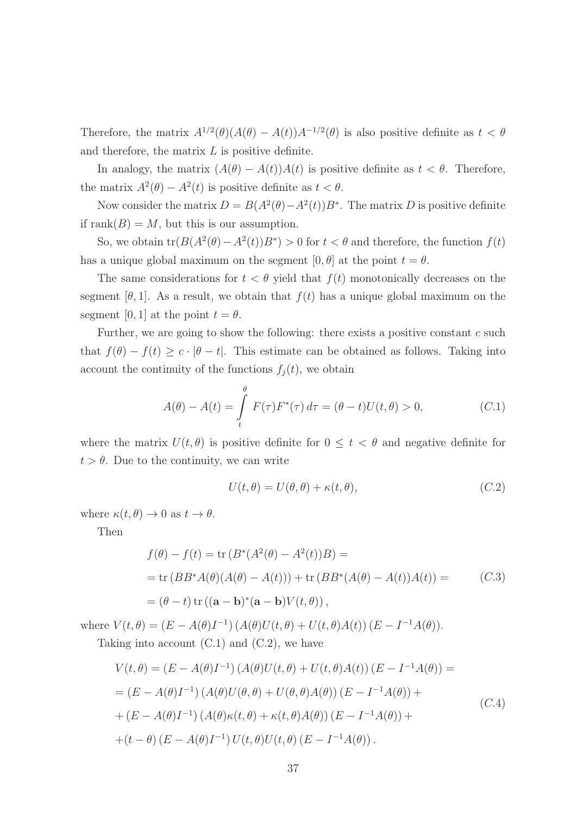Therefore, the matrix  $A^{1/2}(\theta)(A(\theta) - A(t))A^{-1/2}(\theta)$  is also positive definite as  $t < \theta$ and therefore, the matrix  $L$  is positive definite.

In analogy, the matrix  $(A(\theta) - A(t))A(t)$  is positive definite as  $t < \theta$ . Therefore, the matrix  $A^2(\theta) - A^2(t)$  is positive definite as  $t < \theta$ .

Now consider the matrix  $D = B(A^2(\theta) - A^2(t))B^*$ . The matrix D is positive definite if rank $(B) = M$ , but this is our assumption.

So, we obtain  $tr(B(A^2(\theta) - A^2(t))B^*) > 0$  for  $t < \theta$  and therefore, the function  $f(t)$ has a unique global maximum on the segment  $[0, \theta]$  at the point  $t = \theta$ .

The same considerations for  $t < \theta$  yield that  $f(t)$  monotonically decreases on the segment [ $\theta$ , 1]. As a result, we obtain that  $f(t)$  has a unique global maximum on the segment [0, 1] at the point  $t = \theta$ .

Further, we are going to show the following: there exists a positive constant  $c$  such that  $f(\theta) - f(t) \geq c \cdot |\theta - t|$ . This estimate can be obtained as follows. Taking into account the continuity of the functions  $f_j(t)$ , we obtain

$$
A(\theta) - A(t) = \int_{t}^{\theta} F(\tau) F^{*}(\tau) d\tau = (\theta - t) U(t, \theta) > 0,
$$
 (C.1)

where the matrix  $U(t, \theta)$  is positive definite for  $0 \leq t < \theta$  and negative definite for  $t > \theta$ . Due to the continuity, we can write

$$
U(t, \theta) = U(\theta, \theta) + \kappa(t, \theta), \qquad (C.2)
$$

where  $\kappa(t, \theta) \to 0$  as  $t \to \theta$ .

Then

$$
f(\theta) - f(t) = \text{tr}(B^*(A^2(\theta) - A^2(t))B) =
$$
  
= tr (BB^\*A(\theta)(A(\theta) - A(t))) + tr (BB^\*(A(\theta) - A(t))A(t)) = (C.3)  
= (\theta - t) tr ((**a** - **b**)\*(**a** - **b**)V(t, \theta)),

where  $V(t, \theta) = (E - A(\theta)I^{-1}) (A(\theta)U(t, \theta) + U(t, \theta)A(t)) (E - I^{-1}A(\theta)).$ Taking into account  $(C.1)$  and  $(C.2)$ , we have

$$
V(t, \theta) = (E - A(\theta)I^{-1}) (A(\theta)U(t, \theta) + U(t, \theta)A(t)) (E - I^{-1}A(\theta)) =
$$
  
=  $(E - A(\theta)I^{-1}) (A(\theta)U(\theta, \theta) + U(\theta, \theta)A(\theta)) (E - I^{-1}A(\theta)) +$   
+  $(E - A(\theta)I^{-1}) (A(\theta)\kappa(t, \theta) + \kappa(t, \theta)A(\theta)) (E - I^{-1}A(\theta)) +$   
+  $(t - \theta) (E - A(\theta)I^{-1}) U(t, \theta)U(t, \theta) (E - I^{-1}A(\theta)).$  (C.4)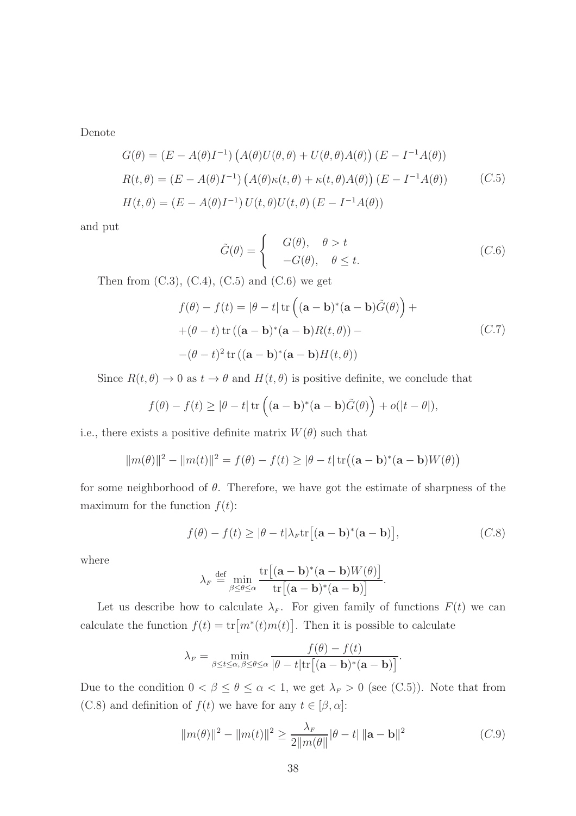Denote

$$
G(\theta) = (E - A(\theta)I^{-1}) \left( A(\theta)U(\theta, \theta) + U(\theta, \theta)A(\theta) \right) (E - I^{-1}A(\theta))
$$
  
\n
$$
R(t, \theta) = (E - A(\theta)I^{-1}) \left( A(\theta)\kappa(t, \theta) + \kappa(t, \theta)A(\theta) \right) (E - I^{-1}A(\theta))
$$
 (C.5)  
\n
$$
H(t, \theta) = (E - A(\theta)I^{-1}) U(t, \theta)U(t, \theta) (E - I^{-1}A(\theta))
$$

and put

$$
\tilde{G}(\theta) = \begin{cases}\nG(\theta), & \theta > t \\
-G(\theta), & \theta \le t.\n\end{cases}
$$
\n(C.6)

Then from  $(C.3)$ ,  $(C.4)$ ,  $(C.5)$  and  $(C.6)$  we get

$$
f(\theta) - f(t) = |\theta - t| \operatorname{tr} \left( (\mathbf{a} - \mathbf{b})^* (\mathbf{a} - \mathbf{b}) \tilde{G}(\theta) \right) +
$$
  
+ (\theta - t) \operatorname{tr} ((\mathbf{a} - \mathbf{b})^\* (\mathbf{a} - \mathbf{b}) R(t, \theta)) -  
-(\theta - t)^2 \operatorname{tr} ((\mathbf{a} - \mathbf{b})^\* (\mathbf{a} - \mathbf{b}) H(t, \theta)) \qquad (C.7)

Since  $R(t, \theta) \to 0$  as  $t \to \theta$  and  $H(t, \theta)$  is positive definite, we conclude that

$$
f(\theta) - f(t) \ge |\theta - t| \operatorname{tr} \left( (\mathbf{a} - \mathbf{b})^* (\mathbf{a} - \mathbf{b}) \tilde{G}(\theta) \right) + o(|t - \theta|),
$$

i.e., there exists a positive definite matrix  $W(\theta)$  such that

$$
||m(\theta)||^2 - ||m(t)||^2 = f(\theta) - f(t) \ge |\theta - t| \operatorname{tr}((\mathbf{a} - \mathbf{b})^* (\mathbf{a} - \mathbf{b}) W(\theta))
$$

for some neighborhood of  $\theta$ . Therefore, we have got the estimate of sharpness of the maximum for the function  $f(t)$ :

$$
f(\theta) - f(t) \ge |\theta - t| \lambda_F \text{tr}[(\mathbf{a} - \mathbf{b})^* (\mathbf{a} - \mathbf{b})],
$$
 (C.8)

where

$$
\lambda_F \stackrel{\text{def}}{=} \min_{\beta \le \theta \le \alpha} \frac{\text{tr}\big[ (\mathbf{a} - \mathbf{b})^* (\mathbf{a} - \mathbf{b}) W(\theta) \big]}{\text{tr}\big[ (\mathbf{a} - \mathbf{b})^* (\mathbf{a} - \mathbf{b}) \big]}.
$$

Let us describe how to calculate  $\lambda_F$ . For given family of functions  $F(t)$  we can calculate the function  $f(t) = \text{tr}[m^*(t)m(t)]$ . Then it is possible to calculate

$$
\lambda_F = \min_{\beta \le t \le \alpha, \beta \le \theta \le \alpha} \frac{f(\theta) - f(t)}{|\theta - t| \text{tr}[(\mathbf{a} - \mathbf{b})^* (\mathbf{a} - \mathbf{b})]}.
$$

Due to the condition  $0 < \beta \le \theta \le \alpha < 1$ , we get  $\lambda_F > 0$  (see (C.5)). Note that from (C.8) and definition of  $f(t)$  we have for any  $t \in [\beta, \alpha]$ :

$$
||m(\theta)||^2 - ||m(t)||^2 \ge \frac{\lambda_F}{2||m(\theta)||} |\theta - t| ||\mathbf{a} - \mathbf{b}||^2
$$
 (C.9)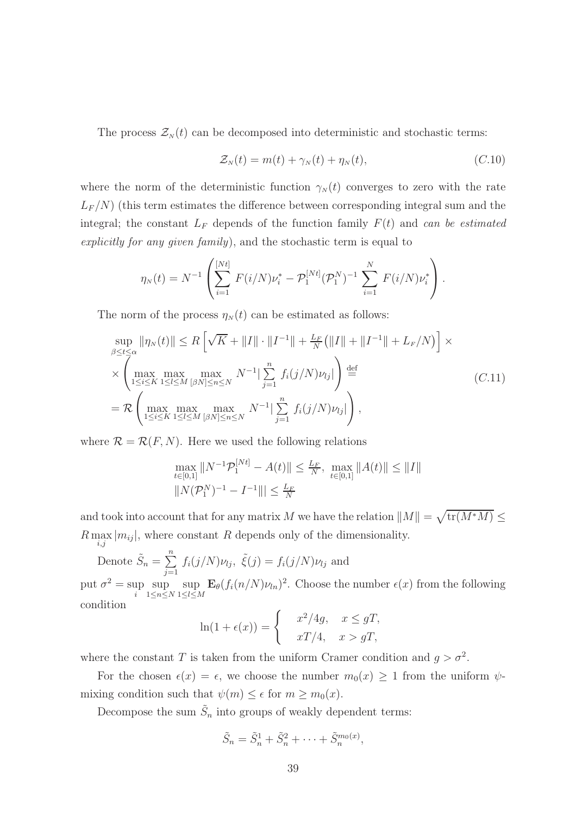The process  $\mathcal{Z}_N(t)$  can be decomposed into deterministic and stochastic terms:

$$
\mathcal{Z}_N(t) = m(t) + \gamma_N(t) + \eta_N(t), \qquad (C.10)
$$

where the norm of the deterministic function  $\gamma_N(t)$  converges to zero with the rate  $L_F/N$ ) (this term estimates the difference between corresponding integral sum and the integral; the constant  $L_F$  depends of the function family  $F(t)$  and can be estimated explicitly for any given family), and the stochastic term is equal to

$$
\eta_N(t) = N^{-1} \left( \sum_{i=1}^{[Nt]} F(i/N) \nu_i^* - \mathcal{P}_1^{[Nt]} (\mathcal{P}_1^N)^{-1} \sum_{i=1}^N F(i/N) \nu_i^* \right).
$$

The norm of the process  $\eta_N(t)$  can be estimated as follows:

$$
\sup_{\beta \le t \le \alpha} \|\eta_N(t)\| \le R \left[ \sqrt{K} + \|I\| \cdot \|I^{-1}\| + \frac{L_F}{N} \left( \|I\| + \|I^{-1}\| + L_F/N \right) \right] \times
$$
  
\n
$$
\times \left( \max_{1 \le i \le K} \max_{1 \le l \le M} \max_{[\beta N] \le n \le N} N^{-1} \Big| \sum_{j=1}^n f_i(j/N) \nu_{lj} \Big| \right) \stackrel{\text{def}}{=} \qquad (C.11)
$$
  
\n
$$
= R \left( \max_{1 \le i \le K} \max_{1 \le l \le M} \max_{[\beta N] \le n \le N} N^{-1} \Big| \sum_{j=1}^n f_i(j/N) \nu_{lj} \Big| \right),
$$

where  $\mathcal{R} = \mathcal{R}(F, N)$ . Here we used the following relations

$$
\max_{t \in [0,1]} \|N^{-1} \mathcal{P}_1^{[Nt]} - A(t)\| \le \frac{L_F}{N}, \max_{t \in [0,1]} \|A(t)\| \le \|I\|
$$
  

$$
\|N(\mathcal{P}_1^N)^{-1} - I^{-1}\| \le \frac{L_F}{N}
$$

and took into account that for any matrix M we have the relation  $||M|| = \sqrt{\text{tr}(M^*M)} \le$  $R \max_{i,j} |m_{ij}|$ , where constant R depends only of the dimensionality.

Denote 
$$
\tilde{S}_n = \sum_{j=1}^n f_i(j/N)\nu_{lj}
$$
,  $\tilde{\xi}(j) = f_i(j/N)\nu_{lj}$  and

put  $\sigma^2 = \sup$ i sup  $1\leq n\leq N$ sup  $1 \leq l \leq M$  $\mathbf{E}_{\theta}(f_i(n/N)\nu_{ln})^2$ . Choose the number  $\epsilon(x)$  from the following condition

$$
\ln(1 + \epsilon(x)) = \begin{cases} x^2/4g, & x \le gT, \\ xT/4, & x > gT, \end{cases}
$$

where the constant T is taken from the uniform Cramer condition and  $g > \sigma^2$ .

For the chosen  $\epsilon(x) = \epsilon$ , we choose the number  $m_0(x) \geq 1$  from the uniform  $\psi$ mixing condition such that  $\psi(m) \leq \epsilon$  for  $m \geq m_0(x)$ .

Decompose the sum  $\tilde{S}_n$  into groups of weakly dependent terms:

$$
\tilde{S}_n = \tilde{S}_n^1 + \tilde{S}_n^2 + \cdots + \tilde{S}_n^{m_0(x)},
$$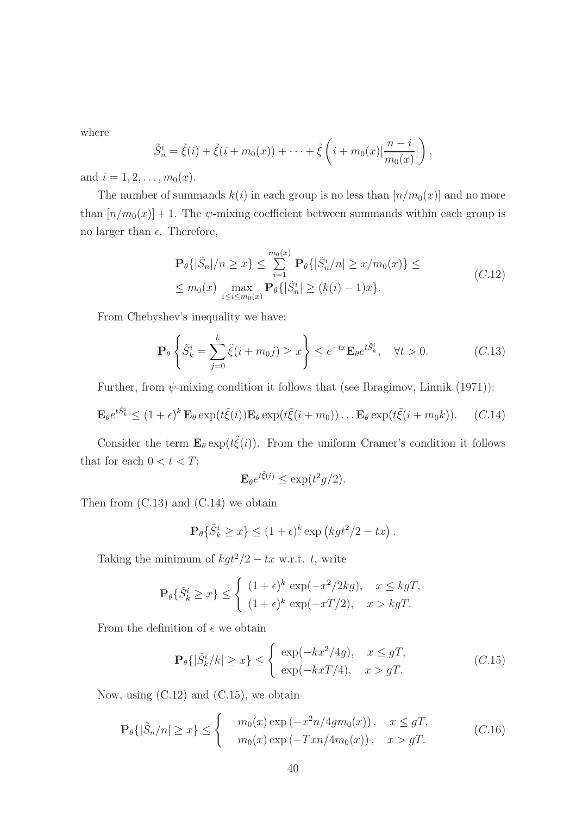where

$$
\tilde{S}_n^i = \tilde{\xi}(i) + \tilde{\xi}(i + m_0(x)) + \cdots + \tilde{\xi}\left(i + m_0(x)\left[\frac{n - i}{m_0(x)}\right]\right),
$$

and  $i = 1, 2, \ldots, m_0(x)$ .

The number of summands  $k(i)$  in each group is no less than  $[n/m_0(x)]$  and no more than  $[n/m_0(x)] + 1$ . The  $\psi$ -mixing coefficient between summands within each group is no larger than  $\epsilon$ . Therefore,

$$
\mathbf{P}_{\theta}\{|\tilde{S}_n|/n \ge x\} \le \sum_{i=1}^{m_0(x)} \mathbf{P}_{\theta}\{|\tilde{S}_n^i/n| \ge x/m_0(x)\} \le
$$
\n
$$
\le m_0(x) \max_{1 \le i \le m_0(x)} \mathbf{P}_{\theta}\{|\tilde{S}_n^i| \ge (k(i) - 1)x\}.
$$
\n(C.12)

From Chebyshev's inequality we have:

$$
\mathbf{P}_{\theta}\left\{\tilde{S}_{k}^{i} = \sum_{j=0}^{k} \tilde{\xi}(i + m_{0}j) \geq x\right\} \leq e^{-tx} \mathbf{E}_{\theta} e^{t\tilde{S}_{k}^{i}}, \quad \forall t > 0.
$$
 (C.13)

Further, from  $\psi$ -mixing condition it follows that (see Ibragimov, Linnik (1971)):

$$
\mathbf{E}_{\theta} e^{t\tilde{S}_{k}^{i}} \leq (1+\epsilon)^{k} \mathbf{E}_{\theta} \exp(t\tilde{\xi}(i)) \mathbf{E}_{\theta} \exp(t\tilde{\xi}(i+m_{0})) \dots \mathbf{E}_{\theta} \exp(t\tilde{\xi}(i+m_{0}k)). \quad (C.14)
$$

Consider the term  $\mathbf{E}_{\theta} \exp(t\tilde{\xi}(i))$ . From the uniform Cramer's condition it follows that for each  $0 < t < T$ :

$$
\mathbf{E}_{\theta}e^{t\tilde{\xi}(i)} \leq \exp(t^2g/2).
$$

Then from  $(C.13)$  and  $(C.14)$  we obtain

$$
\mathbf{P}_{\theta}\{\tilde{S}_{k}^{i} \geq x\} \leq (1+\epsilon)^{k} \exp(kgt^{2}/2 - tx).
$$

Taking the minimum of  $kgt^2/2 - tx$  w.r.t. t, write

$$
\mathbf{P}_{\theta}\{\tilde{S}_{k}^{i} \geq x\} \leq \begin{cases} (1+\epsilon)^{k} \exp(-x^{2}/2kg), & x \leq kgT, \\ (1+\epsilon)^{k} \exp(-xT/2), & x > kgT. \end{cases}
$$

From the definition of  $\epsilon$  we obtain

$$
\mathbf{P}_{\theta}\{|\tilde{S}_{k}^{i}/k| \geq x\} \leq \begin{cases} \exp(-kx^{2}/4g), & x \leq gT, \\ \exp(-kxT/4), & x > gT. \end{cases}
$$
 (C.15)

Now, using  $(C.12)$  and  $(C.15)$ , we obtain

$$
\mathbf{P}_{\theta}\{|\tilde{S}_n/n| \ge x\} \le \begin{cases} m_0(x) \exp\left(-x^2 n/4g m_0(x)\right), & x \le gT, \\ m_0(x) \exp\left(-T x n/4m_0(x)\right), & x > gT. \end{cases} \tag{C.16}
$$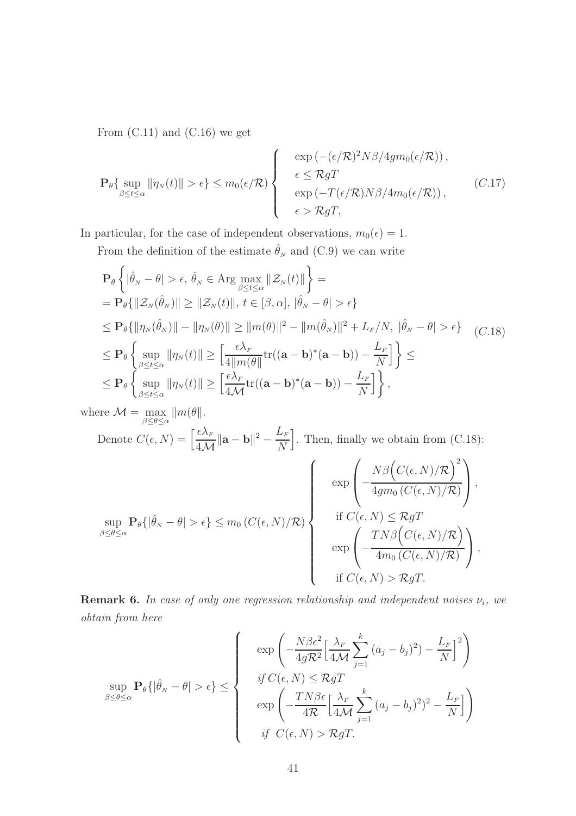From  $(C.11)$  and  $(C.16)$  we get

$$
\mathbf{P}_{\theta}\{\sup_{\beta \leq t \leq \alpha} ||\eta_N(t)|| > \epsilon\} \leq m_0(\epsilon/\mathcal{R}) \left\{\begin{array}{c} \exp\left(-(\epsilon/\mathcal{R})^2 N \beta / 4g m_0(\epsilon/\mathcal{R})\right), \\ \epsilon \leq \mathcal{R} g T \\ \exp\left(-T(\epsilon/\mathcal{R}) N \beta / 4m_0(\epsilon/\mathcal{R})\right), \end{array} \right. \tag{C.17}
$$

In particular, for the case of independent observations,  $m_0(\epsilon) = 1$ .

From the definition of the estimate  $\hat{\theta}_N$  and (C.9) we can write

$$
\mathbf{P}_{\theta}\left\{|\hat{\theta}_{N} - \theta| > \epsilon, \hat{\theta}_{N} \in \text{Arg}\max_{\beta \leq t \leq \alpha} ||\mathcal{Z}_{N}(t)||\right\} =
$$
\n
$$
= \mathbf{P}_{\theta}\{||\mathcal{Z}_{N}(\hat{\theta}_{N})|| \geq ||\mathcal{Z}_{N}(t)||, t \in [\beta, \alpha], |\hat{\theta}_{N} - \theta| > \epsilon\}
$$
\n
$$
\leq \mathbf{P}_{\theta}\{||\eta_{N}(\hat{\theta}_{N})|| - ||\eta_{N}(\theta)|| \geq ||m(\theta)||^{2} - ||m(\hat{\theta}_{N})||^{2} + L_{F}/N, |\hat{\theta}_{N} - \theta| > \epsilon\} \quad (C.18)
$$
\n
$$
\leq \mathbf{P}_{\theta}\left\{\sup_{\beta \leq t \leq \alpha} ||\eta_{N}(t)|| \geq \left[\frac{\epsilon\lambda_{F}}{4||m(\theta)||}\text{tr}((\mathbf{a} - \mathbf{b})^{*}(\mathbf{a} - \mathbf{b})) - \frac{L_{F}}{N}\right]\right\} \leq
$$
\n
$$
\leq \mathbf{P}_{\theta}\left\{\sup_{\beta \leq t \leq \alpha} ||\eta_{N}(t)|| \geq \left[\frac{\epsilon\lambda_{F}}{4\mathcal{M}}\text{tr}((\mathbf{a} - \mathbf{b})^{*}(\mathbf{a} - \mathbf{b})) - \frac{L_{F}}{N}\right]\right\},
$$

where  $\mathcal{M} = \max_{\beta \leq \theta \leq \alpha} ||m(\theta||)$ . Denote  $C(\epsilon, N) = \left[\frac{\epsilon \lambda_F}{4\Lambda_F}\right]$  $4\mathcal{M}$  $\|\mathbf{a} - \mathbf{b}\|^2 - \frac{L_F}{N}$ N . Then, finally we obtain from (C.18):

$$
\sup_{\beta \le \theta \le \alpha} \mathbf{P}_{\theta}\{|\hat{\theta}_{N} - \theta| > \epsilon\} \le m_0(C(\epsilon, N)/\mathcal{R}) \left\{\begin{array}{c} \exp\left(-\frac{N\beta\left(C(\epsilon, N)/\mathcal{R}\right)^2}{4g m_0(C(\epsilon, N)/\mathcal{R})}\right), \\ \text{if } C(\epsilon, N) \le \mathcal{R} g T \\ \exp\left(-\frac{TN\beta\left(C(\epsilon, N)/\mathcal{R}\right)}{4m_0(C(\epsilon, N)/\mathcal{R})}\right), \\ \text{if } C(\epsilon, N) > \mathcal{R} g T. \end{array}\right\}
$$

**Remark 6.** In case of only one regression relationship and independent noises  $\nu_i$ , we obtain from here

$$
\sup_{\beta \le \theta \le \alpha} \mathbf{P}_{\theta} \{ |\hat{\theta}_{N} - \theta| > \epsilon \} \le \left\{ \begin{array}{c} \exp\left( -\frac{N\beta\epsilon^{2}}{4gR^{2}} \Big[ \frac{\lambda_{F}}{4\mathcal{M}} \sum_{j=1}^{k} (a_{j} - b_{j})^{2}) - \frac{L_{F}}{N} \Big]^{2} \right) \\ \quad \text{if } C(\epsilon, N) \le \mathcal{R} g T \\ \exp\left( -\frac{TN\beta\epsilon}{4\mathcal{R}} \Big[ \frac{\lambda_{F}}{4\mathcal{M}} \sum_{j=1}^{k} (a_{j} - b_{j})^{2})^{2} - \frac{L_{F}}{N} \Big] \right) \\ \quad \text{if } C(\epsilon, N) > \mathcal{R} g T. \end{array} \right\}
$$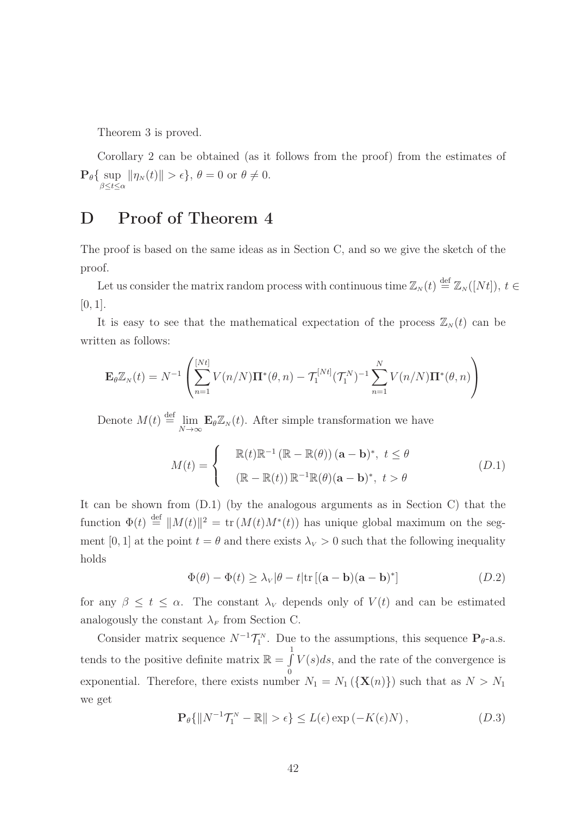Theorem 3 is proved.

Corollary 2 can be obtained (as it follows from the proof) from the estimates of  $\mathbf{P}_{\theta} \{ \sup_{\beta \leq t \leq \alpha} || \eta_N(t) || > \epsilon \}, \ \theta = 0 \text{ or } \theta \neq 0.$ 

### D Proof of Theorem 4

The proof is based on the same ideas as in Section C, and so we give the sketch of the proof.

Let us consider the matrix random process with continuous time  $\mathbb{Z}_N(t) \stackrel{\text{def}}{=} \mathbb{Z}_N([Nt])$ ,  $t \in$  $[0, 1]$ .

It is easy to see that the mathematical expectation of the process  $\mathbb{Z}_N(t)$  can be written as follows:

$$
\mathbf{E}_{\theta} \mathbb{Z}_N(t) = N^{-1} \left( \sum_{n=1}^{[Nt]} V(n/N) \mathbf{\Pi}^*(\theta, n) - \mathcal{T}_1^{[Nt]} (\mathcal{T}_1^N)^{-1} \sum_{n=1}^N V(n/N) \mathbf{\Pi}^*(\theta, n) \right)
$$

Denote  $M(t) \stackrel{\text{def}}{=} \lim_{N \to \infty} \mathbf{E}_{\theta} \mathbb{Z}_N(t)$ . After simple transformation we have

$$
M(t) = \begin{cases} \mathbb{R}(t)\mathbb{R}^{-1}(\mathbb{R} - \mathbb{R}(\theta))(\mathbf{a} - \mathbf{b})^*, \ t \le \theta \\ (\mathbb{R} - \mathbb{R}(t))\mathbb{R}^{-1}\mathbb{R}(\theta)(\mathbf{a} - \mathbf{b})^*, \ t > \theta \end{cases}
$$
(D.1)

It can be shown from (D.1) (by the analogous arguments as in Section C) that the function  $\Phi(t) \stackrel{\text{def}}{=} ||M(t)||^2 = \text{tr}(M(t)M^*(t))$  has unique global maximum on the segment [0, 1] at the point  $t = \theta$  and there exists  $\lambda_V > 0$  such that the following inequality holds

$$
\Phi(\theta) - \Phi(t) \ge \lambda_V |\theta - t| \text{tr} [(\mathbf{a} - \mathbf{b})(\mathbf{a} - \mathbf{b})^*]
$$
\n(D.2)

for any  $\beta \leq t \leq \alpha$ . The constant  $\lambda_V$  depends only of  $V(t)$  and can be estimated analogously the constant  $\lambda_F$  from Section C.

Consider matrix sequence  $N^{-1}\mathcal{T}_1^N$ . Due to the assumptions, this sequence  $\mathbf{P}_{\theta}$ -a.s. tends to the positive definite matrix  $\mathbb{R} = \int$ 1 exponential. Therefore, there exists number  $N_1 = N_1 (\{ \mathbf{X}(n) \})$  such that as  $N > N_1$  $V(s)ds$ , and the rate of the convergence is we get

$$
\mathbf{P}_{\theta}\{\|N^{-1}\mathcal{T}_{1}^{N} - \mathbb{R}\| > \epsilon\} \le L(\epsilon) \exp(-K(\epsilon)N), \qquad (D.3)
$$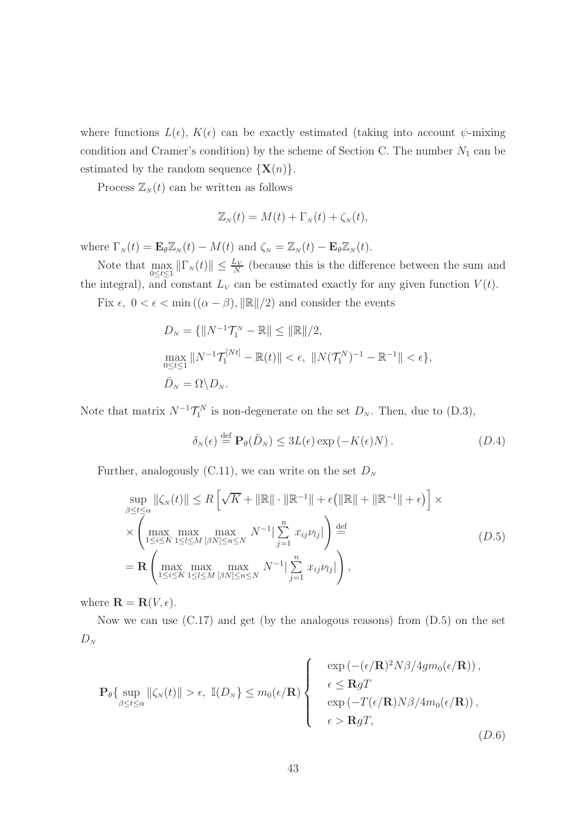where functions  $L(\epsilon)$ ,  $K(\epsilon)$  can be exactly estimated (taking into account  $\psi$ -mixing condition and Cramer's condition) by the scheme of Section C. The number  $N_1$  can be estimated by the random sequence  $\{X(n)\}.$ 

Process  $\mathbb{Z}_N(t)$  can be written as follows

$$
\mathbb{Z}_N(t) = M(t) + \Gamma_N(t) + \zeta_N(t),
$$

where  $\Gamma_N(t) = \mathbf{E}_{\theta} \mathbb{Z}_N(t) - M(t)$  and  $\zeta_N = \mathbb{Z}_N(t) - \mathbf{E}_{\theta} \mathbb{Z}_N(t)$ .

Note that  $\max_{0 \le t \le 1} ||\Gamma_N(t)|| \le \frac{L_V}{N}$  (because this is the difference between the sum and the integral), and constant  $L_V$  can be estimated exactly for any given function  $V(t)$ .

Fix  $\epsilon$ ,  $0 < \epsilon < \min((\alpha - \beta), ||\mathbb{R}||/2)$  and consider the events

$$
D_N = \{ ||N^{-1}\mathcal{T}_1^N - \mathbb{R}|| \le ||\mathbb{R}||/2, \max_{0 \le t \le 1} ||N^{-1}\mathcal{T}_1^{[Nt]} - \mathbb{R}(t)|| < \epsilon, ||N(\mathcal{T}_1^N)^{-1} - \mathbb{R}^{-1}|| < \epsilon \}, \bar{D}_N = \Omega \setminus D_N.
$$

Note that matrix  $N^{-1} \mathcal{T}_1^N$  is non-degenerate on the set  $D_N$ . Then, due to (D.3),

$$
\delta_N(\epsilon) \stackrel{\text{def}}{=} \mathbf{P}_{\theta}(\bar{D}_N) \le 3L(\epsilon) \exp(-K(\epsilon)N). \tag{D.4}
$$

Further, analogously (C.11), we can write on the set  $D<sub>N</sub>$ 

$$
\sup_{\beta \le t \le \alpha} \|\zeta_N(t)\| \le R \left[\sqrt{K} + \|\mathbb{R}\| \cdot \|\mathbb{R}^{-1}\| + \epsilon \left(\|\mathbb{R}\| + \|\mathbb{R}^{-1}\| + \epsilon\right)\right] \times
$$
  
\n
$$
\times \left(\max_{1 \le i \le K} \max_{1 \le l \le M} \max_{[\beta N] \le n \le N} N^{-1} \sum_{j=1}^n x_{ij} \nu_{lj}\right) \stackrel{\text{def}}{=} \qquad (D.5)
$$
  
\n
$$
= \mathbf{R} \left(\max_{1 \le i \le K} \max_{1 \le l \le M} \max_{[\beta N] \le n \le N} N^{-1} \sum_{j=1}^n x_{ij} \nu_{lj}\right),
$$

where  $\mathbf{R} = \mathbf{R}(V, \epsilon)$ .

Now we can use  $(C.17)$  and get (by the analogous reasons) from  $(D.5)$  on the set  $D_N$ 

$$
\mathbf{P}_{\theta}\{\sup_{\beta \leq t \leq \alpha} ||\zeta_{N}(t)|| > \epsilon, \mathbb{I}(D_{N}) \leq m_{0}(\epsilon/\mathbf{R}) \}\n\begin{cases}\n\exp\left(-(\epsilon/\mathbf{R})^{2}N\beta/4gm_{0}(\epsilon/\mathbf{R})\right), \\
\epsilon \leq \mathbf{R}gT \\
\exp\left(-T(\epsilon/\mathbf{R})N\beta/4m_{0}(\epsilon/\mathbf{R})\right), \\
\epsilon > \mathbf{R}gT,\n\end{cases} (D.6)
$$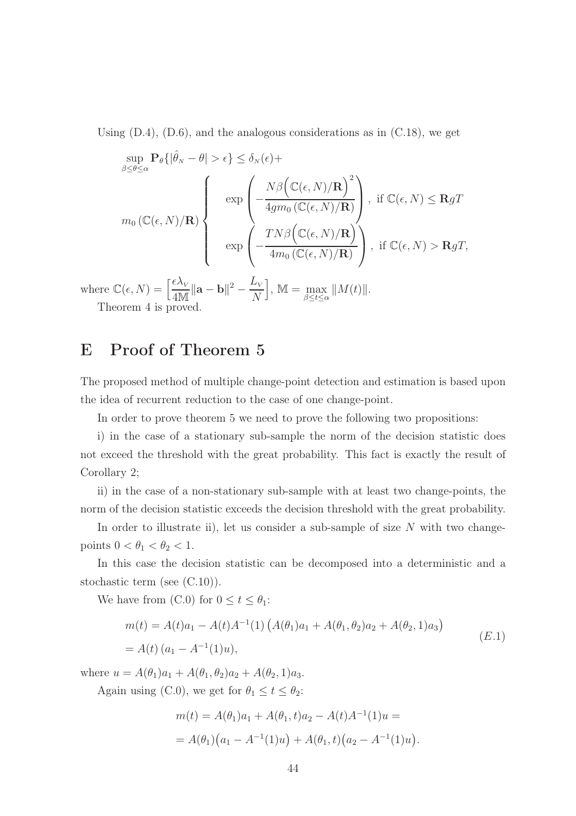Using  $(D.4)$ ,  $(D.6)$ , and the analogous considerations as in  $(C.18)$ , we get

$$
\sup_{\beta \leq \theta \leq \alpha} \mathbf{P}_{\theta}\{|\hat{\theta}_{N} - \theta| > \epsilon\} \leq \delta_{N}(\epsilon) +
$$
\n
$$
m_{0}(\mathbb{C}(\epsilon, N)/\mathbf{R}) \left\{ \exp\left(-\frac{N\beta\left(\mathbb{C}(\epsilon, N)/\mathbf{R}\right)^{2}}{4g m_{0}(\mathbb{C}(\epsilon, N)/\mathbf{R})}\right), \text{ if } \mathbb{C}(\epsilon, N) \leq \mathbf{R}gT\right\}
$$
\n
$$
\exp\left(-\frac{TN\beta\left(\mathbb{C}(\epsilon, N)/\mathbf{R}\right)}{4m_{0}(\mathbb{C}(\epsilon, N)/\mathbf{R})}\right), \text{ if } \mathbb{C}(\epsilon, N) > \mathbf{R}gT,
$$

where  $\mathbb{C}(\epsilon, N) = \left[\frac{\epsilon \lambda_{V}}{4N\epsilon}\right]$  $\frac{\epsilon \lambda_{_V}}{4 \mathbb{M}}\|\mathbf{a} - \mathbf{b}\|^2 - \frac{L_v}{N}$  $\overline{N}$  $\Big], \mathbb{M} = \max_{\beta \leq t \leq \alpha} ||M(t)||.$ Theorem 4 is proved.

### E Proof of Theorem 5

The proposed method of multiple change-point detection and estimation is based upon the idea of recurrent reduction to the case of one change-point.

In order to prove theorem 5 we need to prove the following two propositions:

i) in the case of a stationary sub-sample the norm of the decision statistic does not exceed the threshold with the great probability. This fact is exactly the result of Corollary 2;

ii) in the case of a non-stationary sub-sample with at least two change-points, the norm of the decision statistic exceeds the decision threshold with the great probability.

In order to illustrate ii), let us consider a sub-sample of size  $N$  with two changepoints  $0 < \theta_1 < \theta_2 < 1$ .

In this case the decision statistic can be decomposed into a deterministic and a stochastic term (see (C.10)).

We have from (C.0) for  $0 \le t \le \theta_1$ :

$$
m(t) = A(t)a_1 - A(t)A^{-1}(1) \left( A(\theta_1)a_1 + A(\theta_1, \theta_2)a_2 + A(\theta_2, 1)a_3 \right)
$$
  
=  $A(t) (a_1 - A^{-1}(1)u),$  (E.1)

where  $u = A(\theta_1)a_1 + A(\theta_1, \theta_2)a_2 + A(\theta_2, 1)a_3$ .

Again using (C.0), we get for  $\theta_1 \le t \le \theta_2$ :

$$
m(t) = A(\theta_1)a_1 + A(\theta_1, t)a_2 - A(t)A^{-1}(1)u =
$$
  
=  $A(\theta_1)(a_1 - A^{-1}(1)u) + A(\theta_1, t)(a_2 - A^{-1}(1)u).$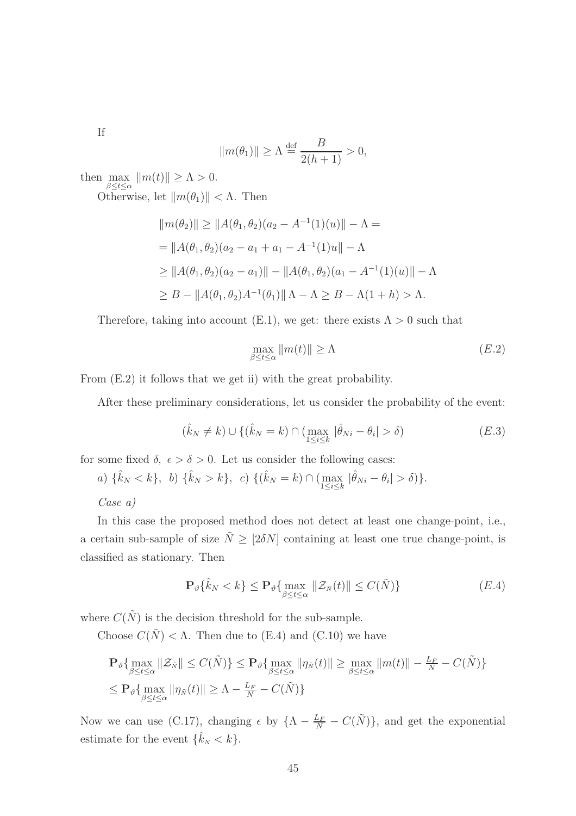If

$$
||m(\theta_1)|| \ge \Lambda \stackrel{\text{def}}{=} \frac{B}{2(h+1)} > 0,
$$

then  $\max_{\beta \leq t \leq \alpha} ||m(t)|| \geq \Lambda > 0.$ 

Otherwise, let  $\|m(\theta_1)\| < \Lambda$ . Then

$$
||m(\theta_2)|| \ge ||A(\theta_1, \theta_2)(a_2 - A^{-1}(1)(u)|| - \Lambda =
$$
  
=  $||A(\theta_1, \theta_2)(a_2 - a_1 + a_1 - A^{-1}(1)u|| - \Lambda$   
 $\ge ||A(\theta_1, \theta_2)(a_2 - a_1)|| - ||A(\theta_1, \theta_2)(a_1 - A^{-1}(1)(u)|| - \Lambda$   
 $\ge B - ||A(\theta_1, \theta_2)A^{-1}(\theta_1)|| \Lambda - \Lambda \ge B - \Lambda(1 + h) > \Lambda.$ 

Therefore, taking into account (E.1), we get: there exists  $\Lambda > 0$  such that

$$
\max_{\beta \le t \le \alpha} \|m(t)\| \ge \Lambda \tag{E.2}
$$

From (E.2) it follows that we get ii) with the great probability.

After these preliminary considerations, let us consider the probability of the event:

$$
(\hat{k}_N \neq k) \cup \{ (\hat{k}_N = k) \cap (\max_{1 \le i \le k} |\hat{\theta}_{Ni} - \theta_i| > \delta) \tag{E.3}
$$

for some fixed  $\delta, \epsilon > \delta > 0$ . Let us consider the following cases:

a)  $\{\hat{k}_N < k\},\, b) \,\{\hat{k}_N > k\},\, c) \,\{(\hat{k}_N = k) \cap (\max_{1 \leq i \leq k} |\hat{\theta}_{Ni} - \theta_i| > \delta)\}.$ 

Case a)

In this case the proposed method does not detect at least one change-point, i.e., a certain sub-sample of size  $\tilde{N} \geq [2\delta N]$  containing at least one true change-point, is classified as stationary. Then

$$
\mathbf{P}_{\vartheta}\{\hat{k}_N < k\} \le \mathbf{P}_{\vartheta}\{\max_{\beta \le t \le \alpha} \|\mathcal{Z}_{\tilde{N}}(t)\| \le C(\tilde{N})\} \tag{E.4}
$$

where  $C(\tilde{N})$  is the decision threshold for the sub-sample.

Choose  $C(\tilde{N}) < \Lambda$ . Then due to (E.4) and (C.10) we have

$$
\mathbf{P}_{\vartheta}\{\max_{\beta \le t \le \alpha} \|\mathcal{Z}_{\tilde{N}}\| \le C(\tilde{N})\} \le \mathbf{P}_{\vartheta}\{\max_{\beta \le t \le \alpha} \|\eta_{\tilde{N}}(t)\| \ge \max_{\beta \le t \le \alpha} \|m(t)\| - \frac{L_F}{N} - C(\tilde{N})\}
$$
  

$$
\le \mathbf{P}_{\vartheta}\{\max_{\beta \le t \le \alpha} \|\eta_{\tilde{N}}(t)\| \ge \Lambda - \frac{L_F}{N} - C(\tilde{N})\}
$$

Now we can use (C.17), changing  $\epsilon$  by  $\{\Lambda - \frac{L_F}{N} - C(\tilde{N})\}\$ , and get the exponential estimate for the event  $\{\hat{k}_N < k\}.$